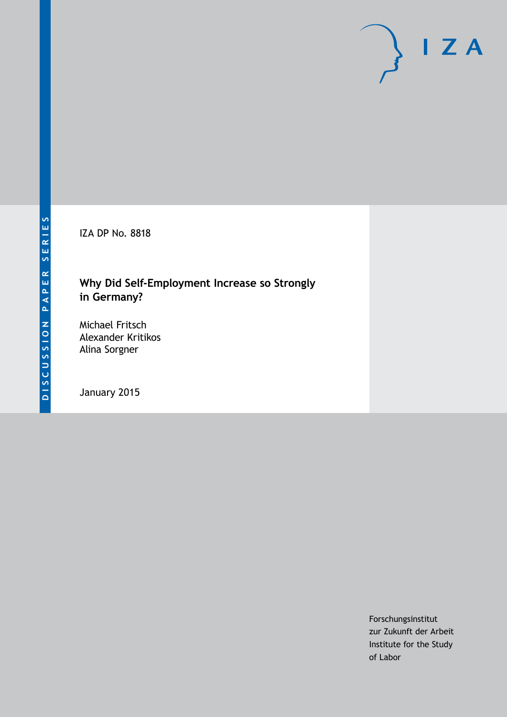IZA DP No. 8818

# **Why Did Self-Employment Increase so Strongly in Germany?**

Michael Fritsch Alexander Kritikos Alina Sorgner

January 2015

Forschungsinstitut zur Zukunft der Arbeit Institute for the Study of Labor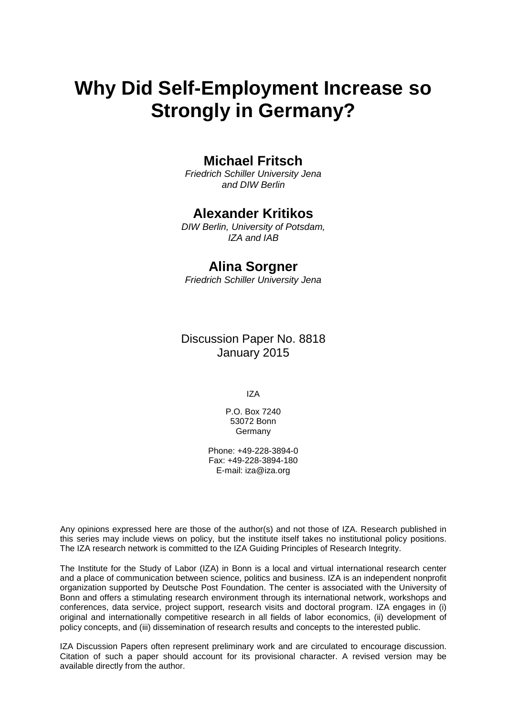# **Why Did Self-Employment Increase so Strongly in Germany?**

## **Michael Fritsch**

*Friedrich Schiller University Jena and DIW Berlin*

### **Alexander Kritikos**

*DIW Berlin, University of Potsdam, IZA and IAB*

#### **Alina Sorgner**

*Friedrich Schiller University Jena*

Discussion Paper No. 8818 January 2015

IZA

P.O. Box 7240 53072 Bonn **Germany** 

Phone: +49-228-3894-0 Fax: +49-228-3894-180 E-mail: [iza@iza.org](mailto:iza@iza.org)

Any opinions expressed here are those of the author(s) and not those of IZA. Research published in this series may include views on policy, but the institute itself takes no institutional policy positions. The IZA research network is committed to the IZA Guiding Principles of Research Integrity.

The Institute for the Study of Labor (IZA) in Bonn is a local and virtual international research center and a place of communication between science, politics and business. IZA is an independent nonprofit organization supported by Deutsche Post Foundation. The center is associated with the University of Bonn and offers a stimulating research environment through its international network, workshops and conferences, data service, project support, research visits and doctoral program. IZA engages in (i) original and internationally competitive research in all fields of labor economics, (ii) development of policy concepts, and (iii) dissemination of research results and concepts to the interested public.

<span id="page-1-0"></span>IZA Discussion Papers often represent preliminary work and are circulated to encourage discussion. Citation of such a paper should account for its provisional character. A revised version may be available directly from the author.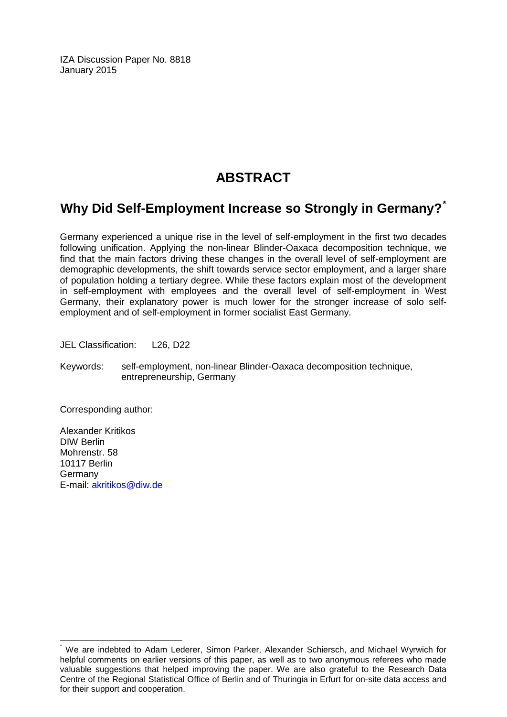IZA Discussion Paper No. 8818 January 2015

# **ABSTRACT**

# **Why Did Self-Employment Increase so Strongly in Germany?[\\*](#page-1-0)**

Germany experienced a unique rise in the level of self-employment in the first two decades following unification. Applying the non-linear Blinder-Oaxaca decomposition technique, we find that the main factors driving these changes in the overall level of self-employment are demographic developments, the shift towards service sector employment, and a larger share of population holding a tertiary degree. While these factors explain most of the development in self-employment with employees and the overall level of self-employment in West Germany, their explanatory power is much lower for the stronger increase of solo selfemployment and of self-employment in former socialist East Germany.

JEL Classification: L26, D22

Keywords: self-employment, non-linear Blinder-Oaxaca decomposition technique, entrepreneurship, Germany

Corresponding author:

Alexander Kritikos DIW Berlin Mohrenstr. 58 10117 Berlin Germany E-mail: [akritikos@diw.de](mailto:akritikos@diw.de)

We are indebted to Adam Lederer, Simon Parker, Alexander Schiersch, and Michael Wyrwich for helpful comments on earlier versions of this paper, as well as to two anonymous referees who made valuable suggestions that helped improving the paper. We are also grateful to the Research Data Centre of the Regional Statistical Office of Berlin and of Thuringia in Erfurt for on-site data access and for their support and cooperation.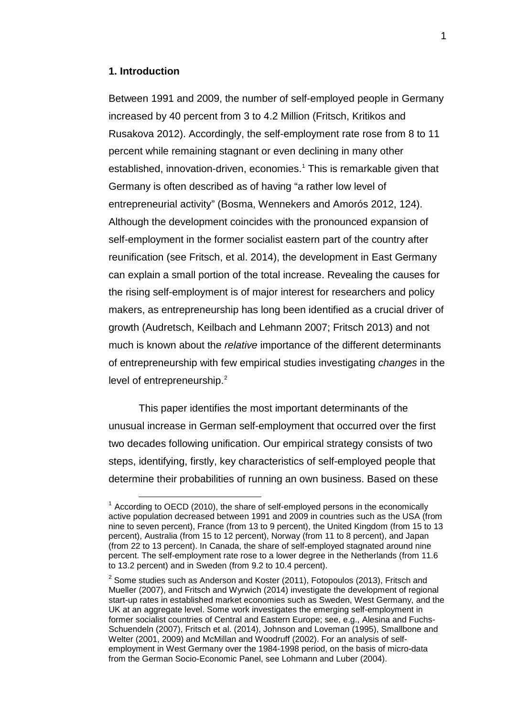#### **1. Introduction**

Between 1991 and 2009, the number of self-employed people in Germany increased by 40 percent from 3 to 4.2 Million (Fritsch, Kritikos and Rusakova 2012). Accordingly, the self-employment rate rose from 8 to 11 percent while remaining stagnant or even declining in many other established, innovation-driven, economies. [1](#page-3-0) This is remarkable given that Germany is often described as of having "a rather low level of entrepreneurial activity" (Bosma, Wennekers and Amorós 2012, 124). Although the development coincides with the pronounced expansion of self-employment in the former socialist eastern part of the country after reunification (see Fritsch, et al. 2014), the development in East Germany can explain a small portion of the total increase. Revealing the causes for the rising self-employment is of major interest for researchers and policy makers, as entrepreneurship has long been identified as a crucial driver of growth (Audretsch, Keilbach and Lehmann 2007; Fritsch 2013) and not much is known about the *relative* importance of the different determinants of entrepreneurship with few empirical studies investigating *changes* in the level of entrepreneurship.<sup>[2](#page-3-1)</sup>

This paper identifies the most important determinants of the unusual increase in German self-employment that occurred over the first two decades following unification. Our empirical strategy consists of two steps, identifying, firstly, key characteristics of self-employed people that determine their probabilities of running an own business. Based on these

<span id="page-3-0"></span> $<sup>1</sup>$  According to OECD (2010), the share of self-employed persons in the economically</sup> active population decreased between 1991 and 2009 in countries such as the USA (from nine to seven percent), France (from 13 to 9 percent), the United Kingdom (from 15 to 13 percent), Australia (from 15 to 12 percent), Norway (from 11 to 8 percent), and Japan (from 22 to 13 percent). In Canada, the share of self-employed stagnated around nine percent. The self-employment rate rose to a lower degree in the Netherlands (from 11.6 to 13.2 percent) and in Sweden (from 9.2 to 10.4 percent).

<span id="page-3-1"></span> $2$  Some studies such as Anderson and Koster (2011), Fotopoulos (2013), Fritsch and Mueller (2007), and Fritsch and Wyrwich (2014) investigate the development of regional start-up rates in established market economies such as Sweden, West Germany, and the UK at an aggregate level. Some work investigates the emerging self-employment in former socialist countries of Central and Eastern Europe; see, e.g., Alesina and Fuchs-Schuendeln (2007), Fritsch et al. (2014), Johnson and Loveman (1995), Smallbone and Welter (2001, 2009) and McMillan and Woodruff (2002). For an analysis of selfemployment in West Germany over the 1984-1998 period, on the basis of micro-data from the German Socio-Economic Panel, see Lohmann and Luber (2004).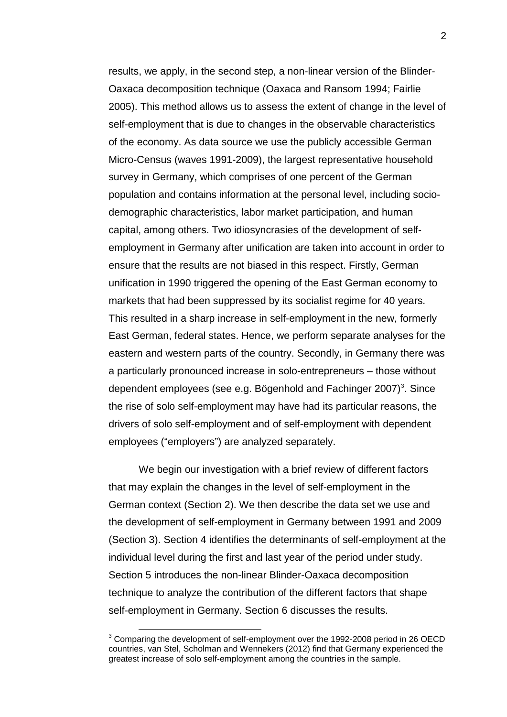results, we apply, in the second step, a non-linear version of the Blinder-Oaxaca decomposition technique (Oaxaca and Ransom 1994; Fairlie 2005). This method allows us to assess the extent of change in the level of self-employment that is due to changes in the observable characteristics of the economy. As data source we use the publicly accessible German Micro-Census (waves 1991-2009), the largest representative household survey in Germany, which comprises of one percent of the German population and contains information at the personal level, including sociodemographic characteristics, labor market participation, and human capital, among others. Two idiosyncrasies of the development of selfemployment in Germany after unification are taken into account in order to ensure that the results are not biased in this respect. Firstly, German unification in 1990 triggered the opening of the East German economy to markets that had been suppressed by its socialist regime for 40 years. This resulted in a sharp increase in self-employment in the new, formerly East German, federal states. Hence, we perform separate analyses for the eastern and western parts of the country. Secondly, in Germany there was a particularly pronounced increase in solo-entrepreneurs – those without dependent employees (see e.g. Bögenhold and Fachinger 2007)<sup>[3](#page-4-0)</sup>. Since the rise of solo self-employment may have had its particular reasons, the drivers of solo self-employment and of self-employment with dependent employees ("employers") are analyzed separately.

We begin our investigation with a brief review of different factors that may explain the changes in the level of self-employment in the German context (Section 2). We then describe the data set we use and the development of self-employment in Germany between 1991 and 2009 (Section 3). Section 4 identifies the determinants of self-employment at the individual level during the first and last year of the period under study. Section 5 introduces the non-linear Blinder-Oaxaca decomposition technique to analyze the contribution of the different factors that shape self-employment in Germany. Section 6 discusses the results.

<span id="page-4-0"></span><sup>&</sup>lt;sup>3</sup> Comparing the development of self-employment over the 1992-2008 period in 26 OECD countries, van Stel, Scholman and Wennekers (2012) find that Germany experienced the greatest increase of solo self-employment among the countries in the sample.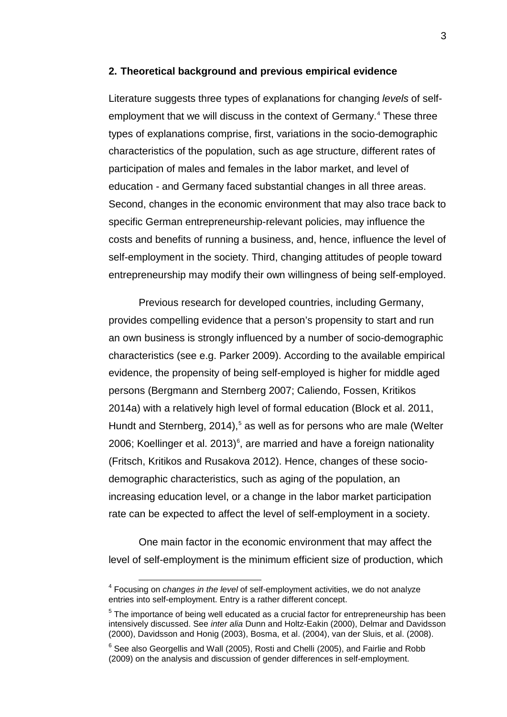#### **2. Theoretical background and previous empirical evidence**

Literature suggests three types of explanations for changing *levels* of selfemployment that we will discuss in the context of Germany. [4](#page-5-0) These three types of explanations comprise, first, variations in the socio-demographic characteristics of the population, such as age structure, different rates of participation of males and females in the labor market, and level of education - and Germany faced substantial changes in all three areas. Second, changes in the economic environment that may also trace back to specific German entrepreneurship-relevant policies, may influence the costs and benefits of running a business, and, hence, influence the level of self-employment in the society. Third, changing attitudes of people toward entrepreneurship may modify their own willingness of being self-employed.

Previous research for developed countries, including Germany, provides compelling evidence that a person's propensity to start and run an own business is strongly influenced by a number of socio-demographic characteristics (see e.g. Parker 2009). According to the available empirical evidence, the propensity of being self-employed is higher for middle aged persons (Bergmann and Sternberg 2007; Caliendo, Fossen, Kritikos 2014a) with a relatively high level of formal education (Block et al. 2011, Hundt and Sternberg, 2014), [5](#page-5-1) as well as for persons who are male (Welter 200[6](#page-5-2); Koellinger et al. 2013) $^{\circ}$ , are married and have a foreign nationality (Fritsch, Kritikos and Rusakova 2012). Hence, changes of these sociodemographic characteristics, such as aging of the population, an increasing education level, or a change in the labor market participation rate can be expected to affect the level of self-employment in a society.

One main factor in the economic environment that may affect the level of self-employment is the minimum efficient size of production, which

<span id="page-5-0"></span> <sup>4</sup> Focusing on *changes in the level* of self-employment activities, we do not analyze entries into self-employment. Entry is a rather different concept.

<span id="page-5-1"></span> $<sup>5</sup>$  The importance of being well educated as a crucial factor for entrepreneurship has been</sup> intensively discussed. See *inter alia* Dunn and Holtz-Eakin (2000), Delmar and Davidsson (2000), Davidsson and Honig (2003), Bosma, et al. (2004), van der Sluis, et al. (2008).

<span id="page-5-2"></span> $6$  See also Georgellis and Wall (2005), Rosti and Chelli (2005), and Fairlie and Robb (2009) on the analysis and discussion of gender differences in self-employment.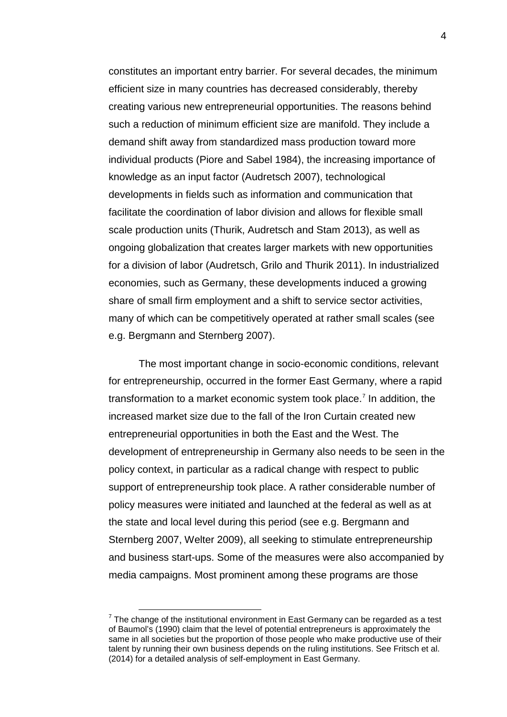constitutes an important entry barrier. For several decades, the minimum efficient size in many countries has decreased considerably, thereby creating various new entrepreneurial opportunities. The reasons behind such a reduction of minimum efficient size are manifold. They include a demand shift away from standardized mass production toward more individual products (Piore and Sabel 1984), the increasing importance of knowledge as an input factor (Audretsch 2007), technological developments in fields such as information and communication that facilitate the coordination of labor division and allows for flexible small scale production units (Thurik, Audretsch and Stam 2013), as well as ongoing globalization that creates larger markets with new opportunities for a division of labor (Audretsch, Grilo and Thurik 2011). In industrialized economies, such as Germany, these developments induced a growing share of small firm employment and a shift to service sector activities, many of which can be competitively operated at rather small scales (see e.g. Bergmann and Sternberg 2007).

The most important change in socio-economic conditions, relevant for entrepreneurship, occurred in the former East Germany, where a rapid transformation to a market economic system took place. [7](#page-6-0) In addition, the increased market size due to the fall of the Iron Curtain created new entrepreneurial opportunities in both the East and the West. The development of entrepreneurship in Germany also needs to be seen in the policy context, in particular as a radical change with respect to public support of entrepreneurship took place. A rather considerable number of policy measures were initiated and launched at the federal as well as at the state and local level during this period (see e.g. Bergmann and Sternberg 2007, Welter 2009), all seeking to stimulate entrepreneurship and business start-ups. Some of the measures were also accompanied by media campaigns. Most prominent among these programs are those

<span id="page-6-0"></span> $<sup>7</sup>$  The change of the institutional environment in East Germany can be regarded as a test</sup> of Baumol's (1990) claim that the level of potential entrepreneurs is approximately the same in all societies but the proportion of those people who make productive use of their talent by running their own business depends on the ruling institutions. See Fritsch et al. (2014) for a detailed analysis of self-employment in East Germany.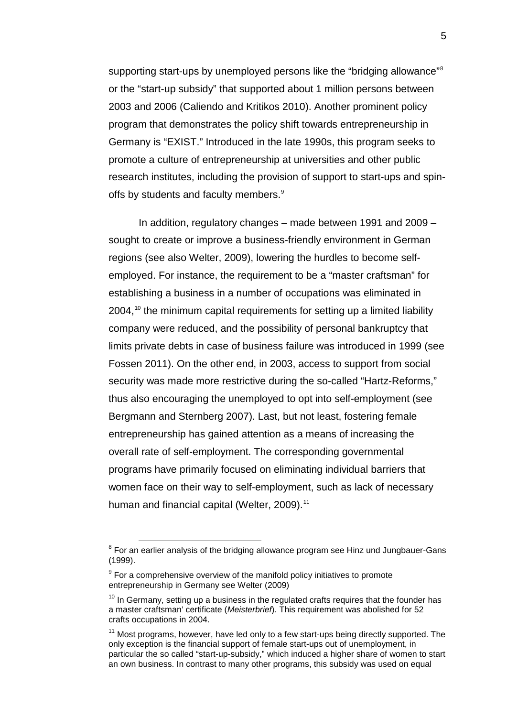supporting start-ups by unemployed persons like the "bridging allowance"<sup>[8](#page-7-0)</sup> or the "start-up subsidy" that supported about 1 million persons between 2003 and 2006 (Caliendo and Kritikos 2010). Another prominent policy program that demonstrates the policy shift towards entrepreneurship in Germany is "EXIST." Introduced in the late 1990s, this program seeks to promote a culture of entrepreneurship at universities and other public research institutes, including the provision of support to start-ups and spin-offs by students and faculty members.<sup>[9](#page-7-1)</sup>

In addition, regulatory changes – made between 1991 and 2009 – sought to create or improve a business-friendly environment in German regions (see also Welter, 2009), lowering the hurdles to become selfemployed. For instance, the requirement to be a "master craftsman" for establishing a business in a number of occupations was eliminated in 2004, [10](#page-7-2) the minimum capital requirements for setting up a limited liability company were reduced, and the possibility of personal bankruptcy that limits private debts in case of business failure was introduced in 1999 (see Fossen 2011). On the other end, in 2003, access to support from social security was made more restrictive during the so-called "Hartz-Reforms," thus also encouraging the unemployed to opt into self-employment (see Bergmann and Sternberg 2007). Last, but not least, fostering female entrepreneurship has gained attention as a means of increasing the overall rate of self-employment. The corresponding governmental programs have primarily focused on eliminating individual barriers that women face on their way to self-employment, such as lack of necessary human and financial capital (Welter, 2009).<sup>[11](#page-7-3)</sup>

<span id="page-7-0"></span><sup>&</sup>lt;sup>8</sup> For an earlier analysis of the bridging allowance program see Hinz und Jungbauer-Gans (1999).

<span id="page-7-1"></span> $9$  For a comprehensive overview of the manifold policy initiatives to promote entrepreneurship in Germany see Welter (2009)

<span id="page-7-2"></span> $10$  In Germany, setting up a business in the regulated crafts requires that the founder has a master craftsman' certificate (*Meisterbrief*). This requirement was abolished for 52 crafts occupations in 2004.

<span id="page-7-3"></span> $11$  Most programs, however, have led only to a few start-ups being directly supported. The only exception is the financial support of female start-ups out of unemployment, in particular the so called "start-up-subsidy," which induced a higher share of women to start an own business. In contrast to many other programs, this subsidy was used on equal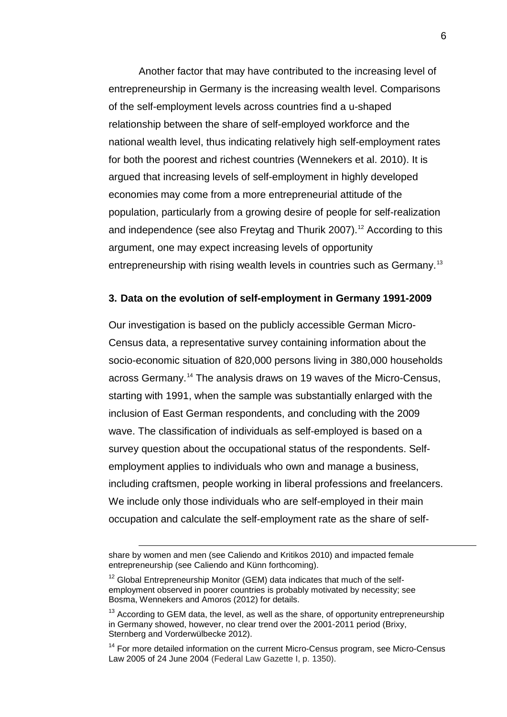Another factor that may have contributed to the increasing level of entrepreneurship in Germany is the increasing wealth level. Comparisons of the self-employment levels across countries find a u-shaped relationship between the share of self-employed workforce and the national wealth level, thus indicating relatively high self-employment rates for both the poorest and richest countries (Wennekers et al. 2010). It is argued that increasing levels of self-employment in highly developed economies may come from a more entrepreneurial attitude of the population, particularly from a growing desire of people for self-realization and independence (see also Freytag and Thurik 2007).<sup>[12](#page-8-0)</sup> According to this argument, one may expect increasing levels of opportunity entrepreneurship with rising wealth levels in countries such as Germany.<sup>[13](#page-8-1)</sup>

#### **3. Data on the evolution of self-employment in Germany 1991-2009**

Our investigation is based on the publicly accessible German Micro-Census data, a representative survey containing information about the socio-economic situation of 820,000 persons living in 380,000 households across Germany.[14](#page-8-2) The analysis draws on 19 waves of the Micro-Census, starting with 1991, when the sample was substantially enlarged with the inclusion of East German respondents, and concluding with the 2009 wave. The classification of individuals as self-employed is based on a survey question about the occupational status of the respondents. Selfemployment applies to individuals who own and manage a business, including craftsmen, people working in liberal professions and freelancers. We include only those individuals who are self-employed in their main occupation and calculate the self-employment rate as the share of self-

 $\overline{a}$ 

share by women and men (see Caliendo and Kritikos 2010) and impacted female entrepreneurship (see Caliendo and Künn forthcoming).

<span id="page-8-0"></span><sup>&</sup>lt;sup>12</sup> Global Entrepreneurship Monitor (GEM) data indicates that much of the selfemployment observed in poorer countries is probably motivated by necessity; see Bosma, Wennekers and Amoros (2012) for details.

<span id="page-8-1"></span> $13$  According to GEM data, the level, as well as the share, of opportunity entrepreneurship in Germany showed, however, no clear trend over the 2001-2011 period (Brixy, Sternberg and Vorderwülbecke 2012).

<span id="page-8-2"></span><sup>&</sup>lt;sup>14</sup> For more detailed information on the current Micro-Census program, see Micro-Census Law 2005 of 24 June 2004 (Federal Law Gazette I, p. 1350).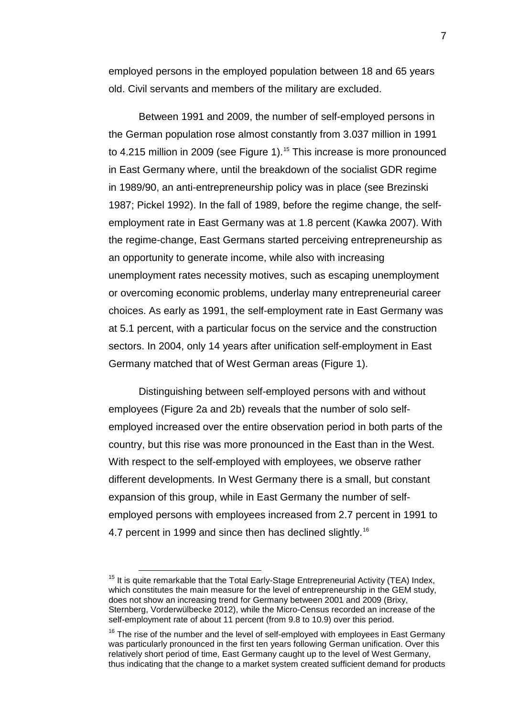employed persons in the employed population between 18 and 65 years old. Civil servants and members of the military are excluded.

Between 1991 and 2009, the number of self-employed persons in the German population rose almost constantly from 3.037 million in 1991 to 4.2[15](#page-9-0) million in 2009 (see Figure 1).<sup>15</sup> This increase is more pronounced in East Germany where, until the breakdown of the socialist GDR regime in 1989/90, an anti-entrepreneurship policy was in place (see Brezinski 1987; Pickel 1992). In the fall of 1989, before the regime change, the selfemployment rate in East Germany was at 1.8 percent (Kawka 2007). With the regime-change, East Germans started perceiving entrepreneurship as an opportunity to generate income, while also with increasing unemployment rates necessity motives, such as escaping unemployment or overcoming economic problems, underlay many entrepreneurial career choices. As early as 1991, the self-employment rate in East Germany was at 5.1 percent, with a particular focus on the service and the construction sectors. In 2004, only 14 years after unification self-employment in East Germany matched that of West German areas (Figure 1).

Distinguishing between self-employed persons with and without employees (Figure 2a and 2b) reveals that the number of solo selfemployed increased over the entire observation period in both parts of the country, but this rise was more pronounced in the East than in the West. With respect to the self-employed with employees, we observe rather different developments. In West Germany there is a small, but constant expansion of this group, while in East Germany the number of selfemployed persons with employees increased from 2.7 percent in 1991 to 4.7 percent in 1999 and since then has declined slightly.<sup>[16](#page-9-1)</sup>

<span id="page-9-0"></span> $15$  It is quite remarkable that the Total Early-Stage Entrepreneurial Activity (TEA) Index, which constitutes the main measure for the level of entrepreneurship in the GEM study, does not show an increasing trend for Germany between 2001 and 2009 (Brixy, Sternberg, Vorderwülbecke 2012), while the Micro-Census recorded an increase of the self-employment rate of about 11 percent (from 9.8 to 10.9) over this period.

<span id="page-9-1"></span> $16$  The rise of the number and the level of self-employed with employees in East Germany was particularly pronounced in the first ten years following German unification. Over this relatively short period of time, East Germany caught up to the level of West Germany, thus indicating that the change to a market system created sufficient demand for products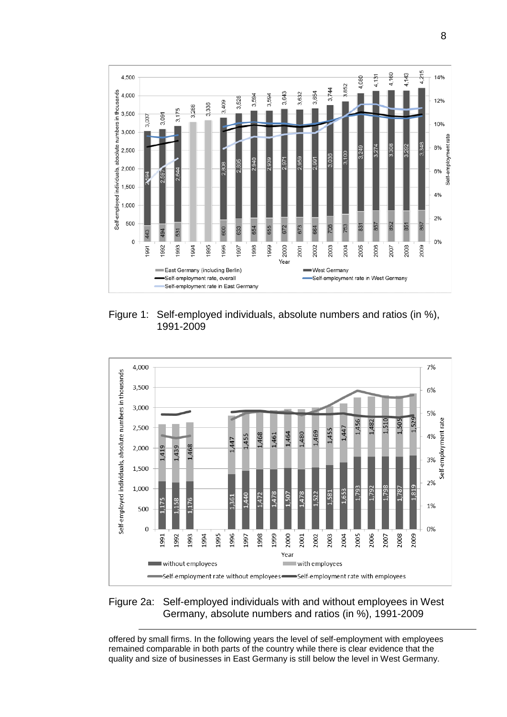

Figure 1: Self-employed individuals, absolute numbers and ratios (in %), 1991-2009



Figure 2a: Self-employed individuals with and without employees in West Germany, absolute numbers and ratios (in %), 1991-2009

offered by small firms. In the following years the level of self-employment with employees remained comparable in both parts of the country while there is clear evidence that the quality and size of businesses in East Germany is still below the level in West Germany.

 $\overline{a}$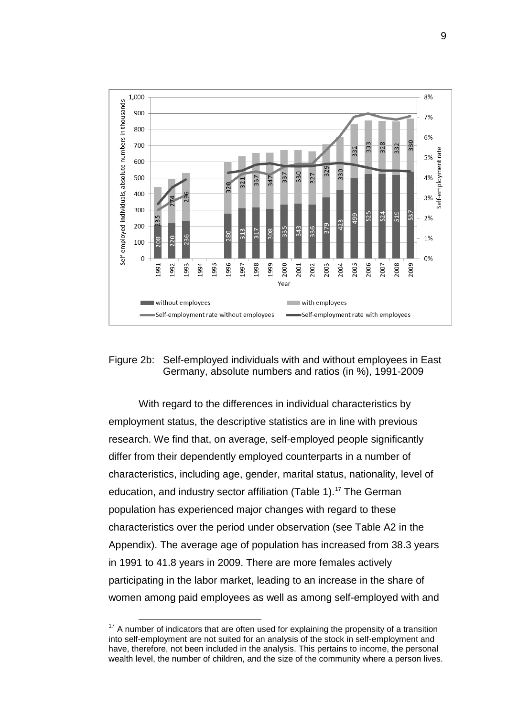

#### Figure 2b: Self-employed individuals with and without employees in East Germany, absolute numbers and ratios (in %), 1991-2009

With regard to the differences in individual characteristics by employment status, the descriptive statistics are in line with previous research. We find that, on average, self-employed people significantly differ from their dependently employed counterparts in a number of characteristics, including age, gender, marital status, nationality, level of education, and industry sector affiliation (Table 1). [17](#page-11-0) The German population has experienced major changes with regard to these characteristics over the period under observation (see Table A2 in the Appendix). The average age of population has increased from 38.3 years in 1991 to 41.8 years in 2009. There are more females actively participating in the labor market, leading to an increase in the share of women among paid employees as well as among self-employed with and

<span id="page-11-0"></span> $17$  A number of indicators that are often used for explaining the propensity of a transition into self-employment are not suited for an analysis of the stock in self-employment and have, therefore, not been included in the analysis. This pertains to income, the personal wealth level, the number of children, and the size of the community where a person lives.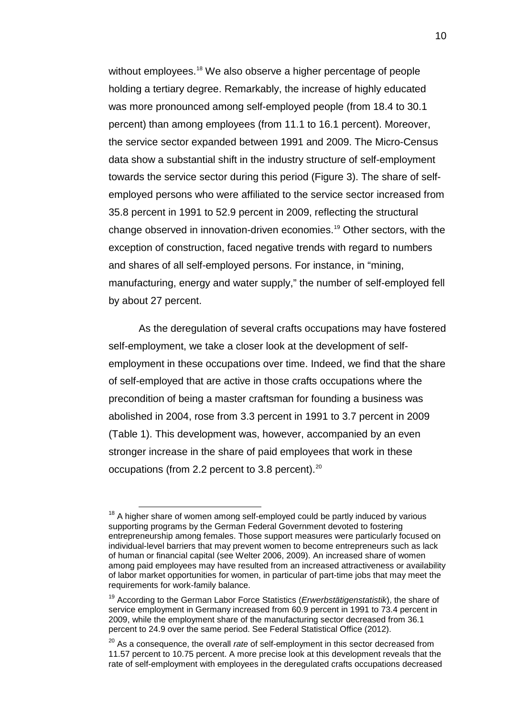without employees.<sup>[18](#page-12-0)</sup> We also observe a higher percentage of people holding a tertiary degree. Remarkably, the increase of highly educated was more pronounced among self-employed people (from 18.4 to 30.1 percent) than among employees (from 11.1 to 16.1 percent). Moreover, the service sector expanded between 1991 and 2009. The Micro-Census data show a substantial shift in the industry structure of self-employment towards the service sector during this period (Figure 3). The share of selfemployed persons who were affiliated to the service sector increased from 35.8 percent in 1991 to 52.9 percent in 2009, reflecting the structural change observed in innovation-driven economies.[19](#page-12-1) Other sectors, with the exception of construction, faced negative trends with regard to numbers and shares of all self-employed persons. For instance, in "mining, manufacturing, energy and water supply," the number of self-employed fell by about 27 percent.

As the deregulation of several crafts occupations may have fostered self-employment, we take a closer look at the development of selfemployment in these occupations over time. Indeed, we find that the share of self-employed that are active in those crafts occupations where the precondition of being a master craftsman for founding a business was abolished in 2004, rose from 3.3 percent in 1991 to 3.7 percent in 2009 (Table 1). This development was, however, accompanied by an even stronger increase in the share of paid employees that work in these occupations (from 2.2 percent to 3.8 percent). $20$ 

<span id="page-12-0"></span> $18$  A higher share of women among self-employed could be partly induced by various supporting programs by the German Federal Government devoted to fostering entrepreneurship among females. Those support measures were particularly focused on individual-level barriers that may prevent women to become entrepreneurs such as lack of human or financial capital (see Welter 2006, 2009). An increased share of women among paid employees may have resulted from an increased attractiveness or availability of labor market opportunities for women, in particular of part-time jobs that may meet the requirements for work-family balance.

<span id="page-12-1"></span><sup>19</sup> According to the German Labor Force Statistics (*Erwerbstätigenstatistik*), the share of service employment in Germany increased from 60.9 percent in 1991 to 73.4 percent in 2009, while the employment share of the manufacturing sector decreased from 36.1 percent to 24.9 over the same period. See Federal Statistical Office (2012).

<span id="page-12-2"></span><sup>20</sup> As a consequence, the overall *rate* of self-employment in this sector decreased from 11.57 percent to 10.75 percent. A more precise look at this development reveals that the rate of self-employment with employees in the deregulated crafts occupations decreased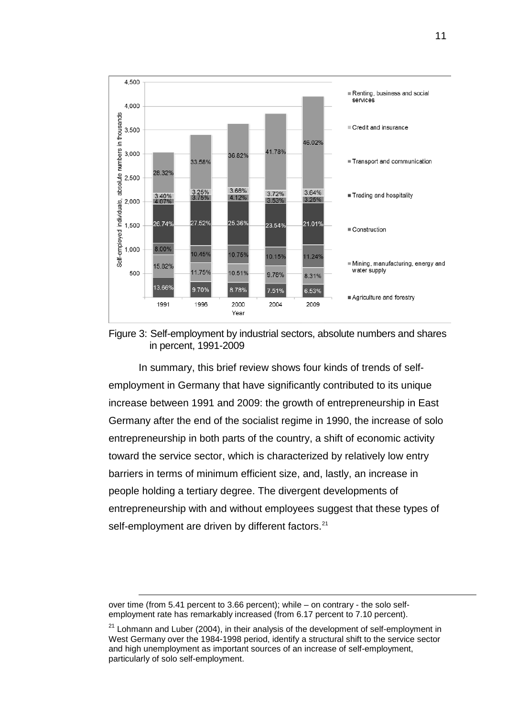

Figure 3: Self-employment by industrial sectors, absolute numbers and shares in percent, 1991-2009

In summary, this brief review shows four kinds of trends of selfemployment in Germany that have significantly contributed to its unique increase between 1991 and 2009: the growth of entrepreneurship in East Germany after the end of the socialist regime in 1990, the increase of solo entrepreneurship in both parts of the country, a shift of economic activity toward the service sector, which is characterized by relatively low entry barriers in terms of minimum efficient size, and, lastly, an increase in people holding a tertiary degree. The divergent developments of entrepreneurship with and without employees suggest that these types of self-employment are driven by different factors.<sup>[21](#page-13-0)</sup>

over time (from 5.41 percent to 3.66 percent); while – on contrary - the solo selfemployment rate has remarkably increased (from 6.17 percent to 7.10 percent).

<span id="page-13-0"></span> $21$  Lohmann and Luber (2004), in their analysis of the development of self-employment in West Germany over the 1984-1998 period, identify a structural shift to the service sector and high unemployment as important sources of an increase of self-employment, particularly of solo self-employment.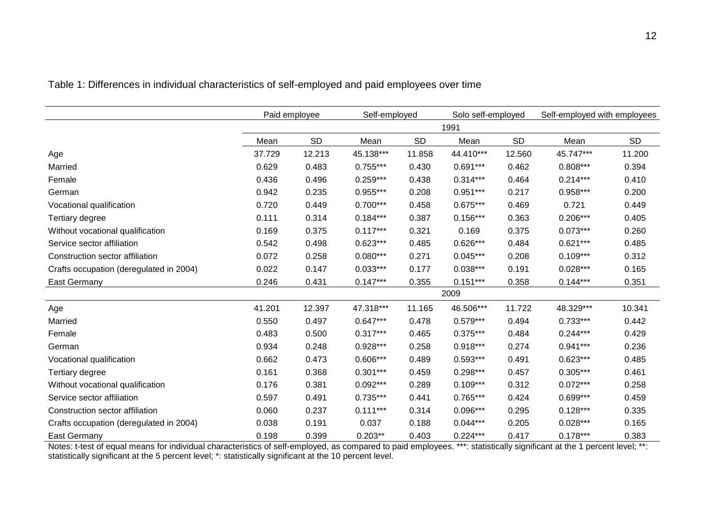|                                         |        | Paid employee | Self-employed |           | Solo self-employed |           | Self-employed with employees |           |
|-----------------------------------------|--------|---------------|---------------|-----------|--------------------|-----------|------------------------------|-----------|
|                                         |        |               |               |           | 1991               |           |                              |           |
|                                         | Mean   | <b>SD</b>     | Mean          | <b>SD</b> | Mean               | <b>SD</b> | Mean                         | <b>SD</b> |
| Age                                     | 37.729 | 12.213        | 45.138***     | 11.858    | 44.410***          | 12.560    | 45.747***                    | 11.200    |
| Married                                 | 0.629  | 0.483         | $0.755***$    | 0.430     | $0.691***$         | 0.462     | $0.808***$                   | 0.394     |
| Female                                  | 0.436  | 0.496         | $0.259***$    | 0.438     | $0.314***$         | 0.464     | $0.214***$                   | 0.410     |
| German                                  | 0.942  | 0.235         | $0.955***$    | 0.208     | $0.951***$         | 0.217     | $0.958***$                   | 0.200     |
| Vocational qualification                | 0.720  | 0.449         | $0.700***$    | 0.458     | $0.675***$         | 0.469     | 0.721                        | 0.449     |
| Tertiary degree                         | 0.111  | 0.314         | $0.184***$    | 0.387     | $0.156***$         | 0.363     | $0.206***$                   | 0.405     |
| Without vocational qualification        | 0.169  | 0.375         | $0.117***$    | 0.321     | 0.169              | 0.375     | $0.073***$                   | 0.260     |
| Service sector affiliation              | 0.542  | 0.498         | $0.623***$    | 0.485     | $0.626***$         | 0.484     | $0.621***$                   | 0.485     |
| Construction sector affiliation         | 0.072  | 0.258         | $0.080***$    | 0.271     | $0.045***$         | 0.208     | $0.109***$                   | 0.312     |
| Crafts occupation (deregulated in 2004) | 0.022  | 0.147         | $0.033***$    | 0.177     | $0.038***$         | 0.191     | $0.028***$                   | 0.165     |
| <b>East Germany</b>                     | 0.246  | 0.431         | $0.147***$    | 0.355     | $0.151***$         | 0.358     | $0.144***$                   | 0.351     |
|                                         |        |               |               |           | 2009               |           |                              |           |
| Age                                     | 41.201 | 12.397        | 47.318***     | 11.165    | 46.506***          | 11.722    | 48.329***                    | 10.341    |
| Married                                 | 0.550  | 0.497         | $0.647***$    | 0.478     | $0.579***$         | 0.494     | $0.733***$                   | 0.442     |
| Female                                  | 0.483  | 0.500         | $0.317***$    | 0.465     | $0.375***$         | 0.484     | $0.244***$                   | 0.429     |
| German                                  | 0.934  | 0.248         | $0.928***$    | 0.258     | $0.918***$         | 0.274     | $0.941***$                   | 0.236     |
| Vocational qualification                | 0.662  | 0.473         | $0.606***$    | 0.489     | $0.593***$         | 0.491     | $0.623***$                   | 0.485     |
| Tertiary degree                         | 0.161  | 0.368         | $0.301***$    | 0.459     | $0.298***$         | 0.457     | $0.305***$                   | 0.461     |
| Without vocational qualification        | 0.176  | 0.381         | $0.092***$    | 0.289     | $0.109***$         | 0.312     | $0.072***$                   | 0.258     |
| Service sector affiliation              | 0.597  | 0.491         | $0.735***$    | 0.441     | $0.765***$         | 0.424     | $0.699***$                   | 0.459     |
| Construction sector affiliation         | 0.060  | 0.237         | $0.111***$    | 0.314     | $0.096***$         | 0.295     | $0.128***$                   | 0.335     |
| Crafts occupation (deregulated in 2004) | 0.038  | 0.191         | 0.037         | 0.188     | $0.044***$         | 0.205     | $0.028***$                   | 0.165     |
| East Germany                            | 0.198  | 0.399         | $0.203**$     | 0.403     | $0.224***$         | 0.417     | $0.178***$                   | 0.383     |

Table 1: Differences in individual characteristics of self-employed and paid employees over time

Notes: t-test of equal means for individual characteristics of self-employed, as compared to paid employees. \*\*\*: statistically significant at the 1 percent level; \*\*: statistically significant at the 5 percent level; \*: statistically significant at the 10 percent level.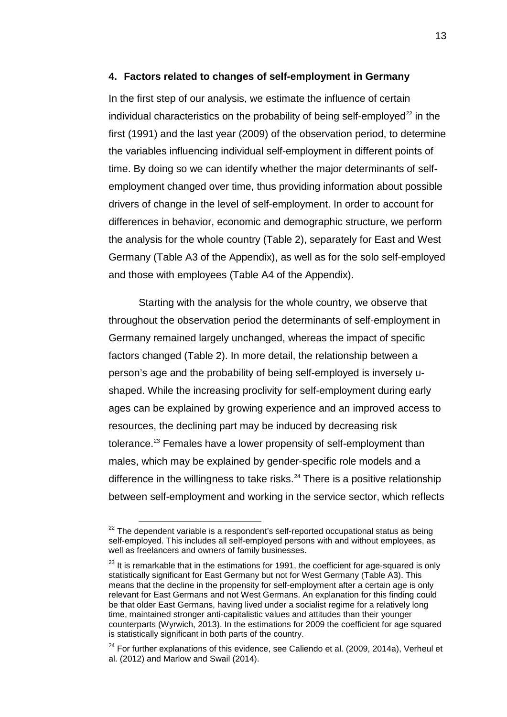#### **4. Factors related to changes of self-employment in Germany**

In the first step of our analysis, we estimate the influence of certain individual characteristics on the probability of being self-employed<sup>[22](#page-15-0)</sup> in the first (1991) and the last year (2009) of the observation period, to determine the variables influencing individual self-employment in different points of time. By doing so we can identify whether the major determinants of selfemployment changed over time, thus providing information about possible drivers of change in the level of self-employment. In order to account for differences in behavior, economic and demographic structure, we perform the analysis for the whole country (Table 2), separately for East and West Germany (Table A3 of the Appendix), as well as for the solo self-employed and those with employees (Table A4 of the Appendix).

Starting with the analysis for the whole country, we observe that throughout the observation period the determinants of self-employment in Germany remained largely unchanged, whereas the impact of specific factors changed (Table 2). In more detail, the relationship between a person's age and the probability of being self-employed is inversely ushaped. While the increasing proclivity for self-employment during early ages can be explained by growing experience and an improved access to resources, the declining part may be induced by decreasing risk tolerance.<sup>[23](#page-15-1)</sup> Females have a lower propensity of self-employment than males, which may be explained by gender-specific role models and a difference in the willingness to take risks.<sup>[24](#page-15-2)</sup> There is a positive relationship between self-employment and working in the service sector, which reflects

<span id="page-15-0"></span> $22$  The dependent variable is a respondent's self-reported occupational status as being self-employed. This includes all self-employed persons with and without employees, as well as freelancers and owners of family businesses.

<span id="page-15-1"></span> $23$  It is remarkable that in the estimations for 1991, the coefficient for age-squared is only statistically significant for East Germany but not for West Germany (Table A3). This means that the decline in the propensity for self-employment after a certain age is only relevant for East Germans and not West Germans. An explanation for this finding could be that older East Germans, having lived under a socialist regime for a relatively long time, maintained stronger anti-capitalistic values and attitudes than their younger counterparts (Wyrwich, 2013). In the estimations for 2009 the coefficient for age squared is statistically significant in both parts of the country.

<span id="page-15-2"></span> $24$  For further explanations of this evidence, see Caliendo et al. (2009, 2014a), Verheul et al. (2012) and Marlow and Swail (2014).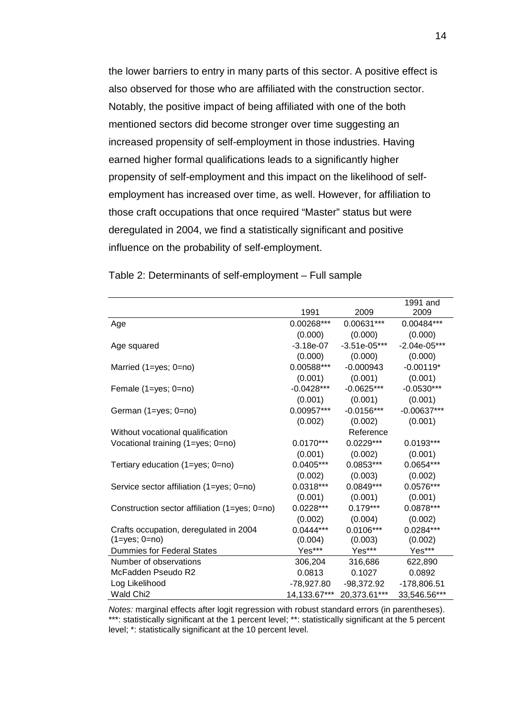the lower barriers to entry in many parts of this sector. A positive effect is also observed for those who are affiliated with the construction sector. Notably, the positive impact of being affiliated with one of the both mentioned sectors did become stronger over time suggesting an increased propensity of self-employment in those industries. Having earned higher formal qualifications leads to a significantly higher propensity of self-employment and this impact on the likelihood of selfemployment has increased over time, as well. However, for affiliation to those craft occupations that once required "Master" status but were deregulated in 2004, we find a statistically significant and positive influence on the probability of self-employment.

|                                               |              |                | 1991 and       |
|-----------------------------------------------|--------------|----------------|----------------|
|                                               | 1991         | 2009           | 2009           |
| Age                                           | 0.00268***   | 0.00631***     | 0.00484***     |
|                                               | (0.000)      | (0.000)        | (0.000)        |
| Age squared                                   | $-3.18e-07$  | $-3.51e-05***$ | $-2.04e-05***$ |
|                                               | (0.000)      | (0.000)        | (0.000)        |
| Married (1=yes; 0=no)                         | 0.00588***   | $-0.000943$    | $-0.00119*$    |
|                                               | (0.001)      | (0.001)        | (0.001)        |
| Female (1=yes; 0=no)                          | $-0.0428***$ | $-0.0625***$   | $-0.0530***$   |
|                                               | (0.001)      | (0.001)        | (0.001)        |
| German (1=yes; 0=no)                          | 0.00957***   | $-0.0156***$   | $-0.00637***$  |
|                                               | (0.002)      | (0.002)        | (0.001)        |
| Without vocational qualification              |              | Reference      |                |
| Vocational training (1=yes; 0=no)             | $0.0170***$  | $0.0229***$    | $0.0193***$    |
|                                               | (0.001)      | (0.002)        | (0.001)        |
| Tertiary education $(1 = yes; 0 = no)$        | $0.0405***$  | $0.0853***$    | $0.0654***$    |
|                                               | (0.002)      | (0.003)        | (0.002)        |
| Service sector affiliation (1=yes; 0=no)      | $0.0318***$  | $0.0849***$    | 0.0576***      |
|                                               | (0.001)      | (0.001)        | (0.001)        |
| Construction sector affiliation (1=yes; 0=no) | $0.0228***$  | $0.179***$     | 0.0878***      |
|                                               | (0.002)      | (0.004)        | (0.002)        |
| Crafts occupation, deregulated in 2004        | $0.0444***$  | $0.0106***$    | 0.0284***      |
| $(1 = yes; 0 = no)$                           | (0.004)      | (0.003)        | (0.002)        |
| <b>Dummies for Federal States</b>             | Yes***       | Yes***         | Yes***         |
| Number of observations                        | 306,204      | 316,686        | 622,890        |
| McFadden Pseudo R2                            | 0.0813       | 0.1027         | 0.0892         |
| Log Likelihood                                | -78,927.80   | $-98,372.92$   | $-178,806.51$  |
| Wald Chi <sub>2</sub>                         | 14,133.67*** | 20,373.61***   | 33,546.56***   |

Table 2: Determinants of self-employment – Full sample

*Notes:* marginal effects after logit regression with robust standard errors (in parentheses). \*\*\*: statistically significant at the 1 percent level; \*\*: statistically significant at the 5 percent level; \*: statistically significant at the 10 percent level.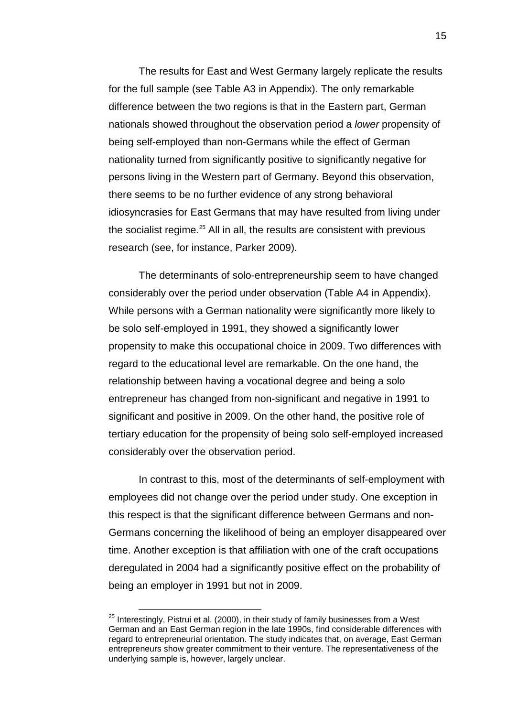The results for East and West Germany largely replicate the results for the full sample (see Table A3 in Appendix). The only remarkable difference between the two regions is that in the Eastern part, German nationals showed throughout the observation period a *lower* propensity of being self-employed than non-Germans while the effect of German nationality turned from significantly positive to significantly negative for persons living in the Western part of Germany. Beyond this observation, there seems to be no further evidence of any strong behavioral idiosyncrasies for East Germans that may have resulted from living under the socialist regime.<sup>[25](#page-17-0)</sup> All in all, the results are consistent with previous research (see, for instance, Parker 2009).

The determinants of solo-entrepreneurship seem to have changed considerably over the period under observation (Table A4 in Appendix). While persons with a German nationality were significantly more likely to be solo self-employed in 1991, they showed a significantly lower propensity to make this occupational choice in 2009. Two differences with regard to the educational level are remarkable. On the one hand, the relationship between having a vocational degree and being a solo entrepreneur has changed from non-significant and negative in 1991 to significant and positive in 2009. On the other hand, the positive role of tertiary education for the propensity of being solo self-employed increased considerably over the observation period.

In contrast to this, most of the determinants of self-employment with employees did not change over the period under study. One exception in this respect is that the significant difference between Germans and non-Germans concerning the likelihood of being an employer disappeared over time. Another exception is that affiliation with one of the craft occupations deregulated in 2004 had a significantly positive effect on the probability of being an employer in 1991 but not in 2009.

<span id="page-17-0"></span> $25$  Interestingly, Pistrui et al. (2000), in their study of family businesses from a West German and an East German region in the late 1990s, find considerable differences with regard to entrepreneurial orientation. The study indicates that, on average, East German entrepreneurs show greater commitment to their venture. The representativeness of the underlying sample is, however, largely unclear.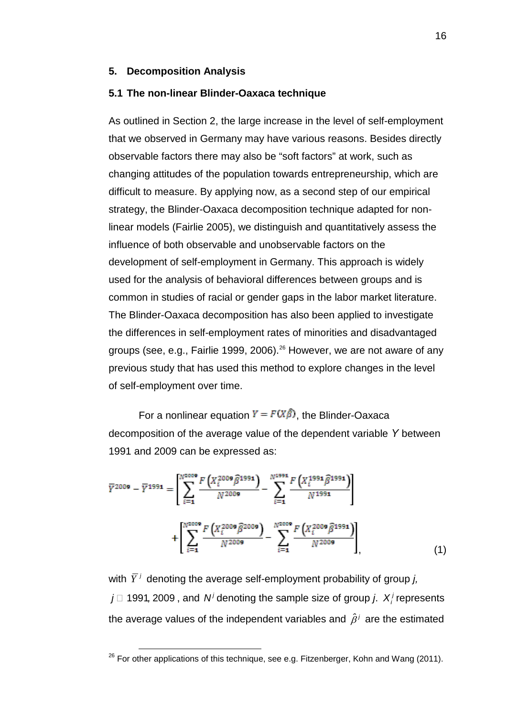#### **5. Decomposition Analysis**

#### **5.1 The non-linear Blinder-Oaxaca technique**

As outlined in Section 2, the large increase in the level of self-employment that we observed in Germany may have various reasons. Besides directly observable factors there may also be "soft factors" at work, such as changing attitudes of the population towards entrepreneurship, which are difficult to measure. By applying now, as a second step of our empirical strategy, the Blinder-Oaxaca decomposition technique adapted for nonlinear models (Fairlie 2005), we distinguish and quantitatively assess the influence of both observable and unobservable factors on the development of self-employment in Germany. This approach is widely used for the analysis of behavioral differences between groups and is common in studies of racial or gender gaps in the labor market literature. The Blinder-Oaxaca decomposition has also been applied to investigate the differences in self-employment rates of minorities and disadvantaged groups (see, e.g., Fairlie 1999, 2006).<sup>[26](#page-18-0)</sup> However, we are not aware of any previous study that has used this method to explore changes in the level of self-employment over time.

For a nonlinear equation  $Y = F(X\hat{\beta})$ , the Blinder-Oaxaca decomposition of the average value of the dependent variable *Y* between 1991 and 2009 can be expressed as:

$$
\overline{Y}^{2009} - \overline{Y}^{1991} = \left[ \sum_{i=1}^{N^{2009}} \frac{F(X_i^{2009} \widehat{\beta}^{1991})}{N^{2009}} - \sum_{i=1}^{N^{2991}} \frac{F(X_i^{1991} \widehat{\beta}^{1991})}{N^{1991}} \right] + \left[ \sum_{i=1}^{N^{2009}} \frac{F(X_i^{2009} \widehat{\beta}^{2009})}{N^{2009}} - \sum_{i=1}^{N^{2009}} \frac{F(X_i^{2009} \widehat{\beta}^{1991})}{N^{2009}} \right],
$$
(1)

with  $\overline{Y}^j$  denoting the average self-employment probability of group *j*,  $j \Box$  1991, 2009, and  $N^{j}$  denoting the sample size of group *j.*  $X^{j}$  represents the average values of the independent variables and  $\hat{\beta}^j$  are the estimated

<span id="page-18-0"></span> $26$  For other applications of this technique, see e.g. Fitzenberger, Kohn and Wang (2011).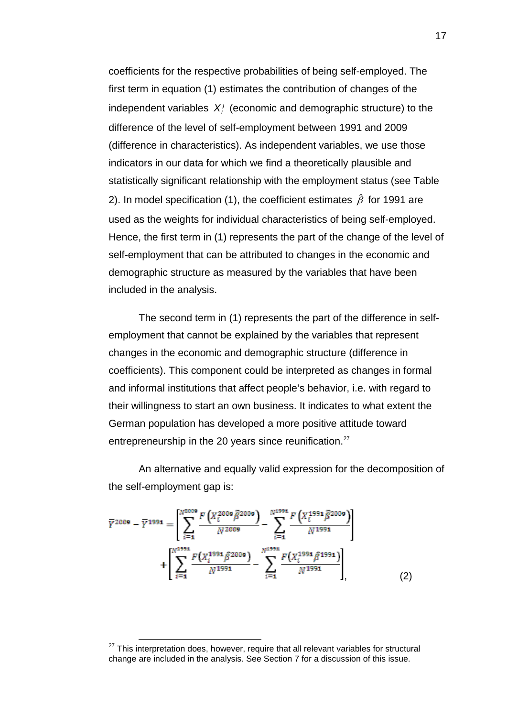coefficients for the respective probabilities of being self-employed. The first term in equation (1) estimates the contribution of changes of the independent variables  $X_i^j$  (economic and demographic structure) to the difference of the level of self-employment between 1991 and 2009 (difference in characteristics). As independent variables, we use those indicators in our data for which we find a theoretically plausible and statistically significant relationship with the employment status (see Table 2). In model specification (1), the coefficient estimates β*ˆ* for 1991 are used as the weights for individual characteristics of being self-employed. Hence, the first term in (1) represents the part of the change of the level of self-employment that can be attributed to changes in the economic and demographic structure as measured by the variables that have been included in the analysis.

The second term in (1) represents the part of the difference in selfemployment that cannot be explained by the variables that represent changes in the economic and demographic structure (difference in coefficients). This component could be interpreted as changes in formal and informal institutions that affect people's behavior, i.e. with regard to their willingness to start an own business. It indicates to what extent the German population has developed a more positive attitude toward entrepreneurship in the 20 years since reunification.<sup>[27](#page-19-0)</sup>

An alternative and equally valid expression for the decomposition of the self-employment gap is:

$$
\overline{Y}^{2009} - \overline{Y}^{1991} = \left[ \sum_{i=1}^{N^{2009}} \frac{F(X_i^{2009} \widehat{\beta}^{2009})}{N^{2009}} - \sum_{i=1}^{N^{2991}} \frac{F(X_i^{1991} \widehat{\beta}^{2009})}{N^{1991}} \right] + \left[ \sum_{i=1}^{N^{2991}} \frac{F(X_i^{1991} \widehat{\beta}^{2009})}{N^{1991}} - \sum_{i=1}^{N^{2991}} \frac{F(X_i^{1991} \widehat{\beta}^{1991})}{N^{1991}} \right], \tag{2}
$$

<span id="page-19-0"></span> $27$  This interpretation does, however, require that all relevant variables for structural change are included in the analysis. See Section 7 for a discussion of this issue.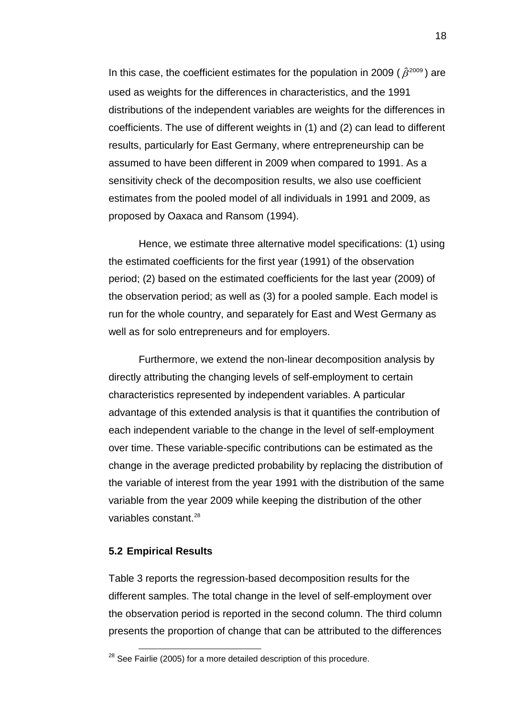In this case, the coefficient estimates for the population in 2009 ( $\hat{\beta}^{\text{2009}}$ ) are used as weights for the differences in characteristics, and the 1991 distributions of the independent variables are weights for the differences in coefficients. The use of different weights in (1) and (2) can lead to different results, particularly for East Germany, where entrepreneurship can be assumed to have been different in 2009 when compared to 1991. As a sensitivity check of the decomposition results, we also use coefficient estimates from the pooled model of all individuals in 1991 and 2009, as proposed by Oaxaca and Ransom (1994).

Hence, we estimate three alternative model specifications: (1) using the estimated coefficients for the first year (1991) of the observation period; (2) based on the estimated coefficients for the last year (2009) of the observation period; as well as (3) for a pooled sample. Each model is run for the whole country, and separately for East and West Germany as well as for solo entrepreneurs and for employers.

Furthermore, we extend the non-linear decomposition analysis by directly attributing the changing levels of self-employment to certain characteristics represented by independent variables. A particular advantage of this extended analysis is that it quantifies the contribution of each independent variable to the change in the level of self-employment over time. These variable-specific contributions can be estimated as the change in the average predicted probability by replacing the distribution of the variable of interest from the year 1991 with the distribution of the same variable from the year 2009 while keeping the distribution of the other variables constant $28$ 

#### **5.2 Empirical Results**

Table 3 reports the regression-based decomposition results for the different samples. The total change in the level of self-employment over the observation period is reported in the second column. The third column presents the proportion of change that can be attributed to the differences

<span id="page-20-0"></span> $28$  See Fairlie (2005) for a more detailed description of this procedure.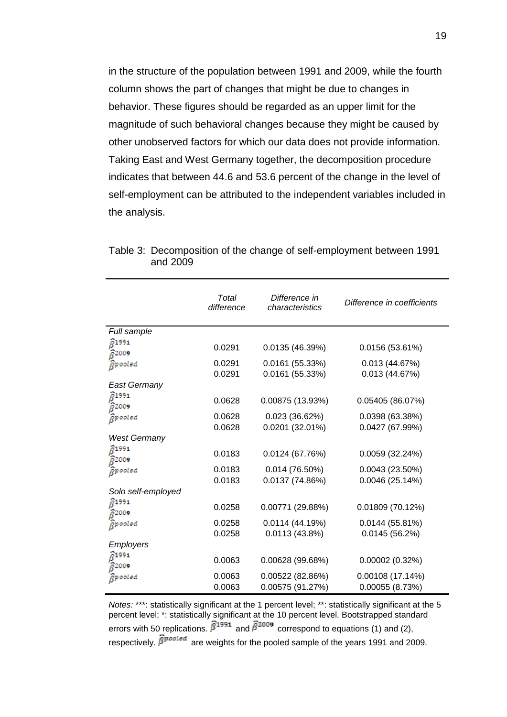in the structure of the population between 1991 and 2009, while the fourth column shows the part of changes that might be due to changes in behavior. These figures should be regarded as an upper limit for the magnitude of such behavioral changes because they might be caused by other unobserved factors for which our data does not provide information. Taking East and West Germany together, the decomposition procedure indicates that between 44.6 and 53.6 percent of the change in the level of self-employment can be attributed to the independent variables included in the analysis.

|                                                     | Total<br>difference | Difference in<br>characteristics     | Difference in coefficients         |
|-----------------------------------------------------|---------------------|--------------------------------------|------------------------------------|
| Full sample                                         |                     |                                      |                                    |
| $6^{1991}$<br>$\hat{B}^{2009}$                      | 0.0291              | 0.0135(46.39%)                       | 0.0156(53.61%)                     |
| Rpooled                                             | 0.0291<br>0.0291    | 0.0161(55.33%)<br>0.0161(55.33%)     | 0.013(44.67%)<br>0.013 (44.67%)    |
| <b>East Germany</b>                                 |                     |                                      |                                    |
| $\widehat{\beta}^{199}$ 1 $\widehat{\beta}^{200}$ 9 | 0.0628              | 0.00875 (13.93%)                     | 0.05405 (86.07%)                   |
| <i>B</i> pooled                                     | 0.0628              | 0.023(36.62%)                        | 0.0398 (63.38%)                    |
| <b>West Germany</b>                                 | 0.0628              | $0.0201(32.01\%)$                    | 0.0427 (67.99%)                    |
| $6^{1991}$<br>$\hat{B}^{2009}$                      | 0.0183              | 0.0124(67.76%)                       | 0.0059(32.24%)                     |
| <i>Bpooled</i>                                      | 0.0183              | $0.014(76.50\%)$                     | $0.0043(23.50\%)$                  |
| Solo self-employed                                  | 0.0183              | 0.0137(74.86%)                       | 0.0046(25.14%)                     |
| $\widehat{\beta}^{199}$ 1 $\widehat{\beta}^{200}$ 9 | 0.0258              | 0.00771 (29.88%)                     | 0.01809 (70.12%)                   |
| <i>Rpooled</i>                                      | 0.0258<br>0.0258    | 0.0114(44.19%)<br>0.0113(43.8%)      | 0.0144(55.81%)<br>0.0145(56.2%)    |
| <b>Employers</b>                                    |                     |                                      |                                    |
| $6^{1991}$<br>၉<br>၉<br>8 <sup>2009</sup>           | 0.0063              | 0.00628(99.68%)                      | 0.00002(0.32%)                     |
| Rpooled                                             | 0.0063<br>0.0063    | 0.00522 (82.86%)<br>0.00575 (91.27%) | 0.00108 (17.14%)<br>0.00055(8.73%) |

Table 3: Decomposition of the change of self-employment between 1991 and 2009

*Notes:* \*\*\*: statistically significant at the 1 percent level; \*\*: statistically significant at the 5 percent level; \*: statistically significant at the 10 percent level. Bootstrapped standard errors with 50 replications.  $\widehat{\beta}^{1991}$  and  $\widehat{\beta}^{2009}$  correspond to equations (1) and (2), respectively.  $\widehat{\beta}_1^{\text{product}}$  are weights for the pooled sample of the years 1991 and 2009.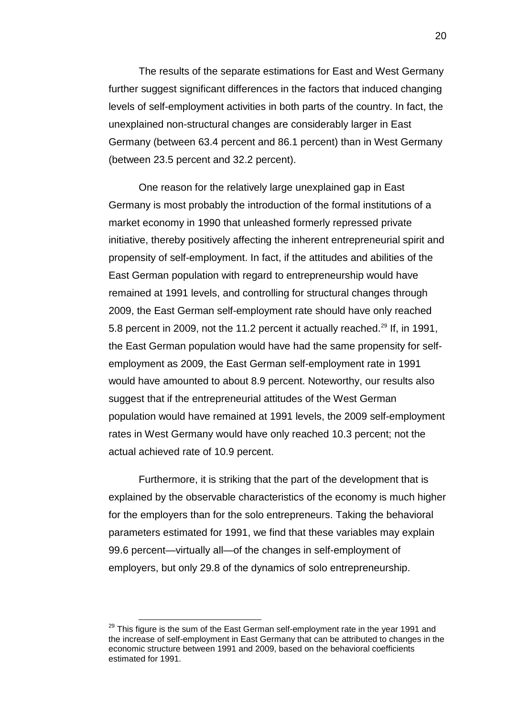The results of the separate estimations for East and West Germany further suggest significant differences in the factors that induced changing levels of self-employment activities in both parts of the country. In fact, the unexplained non-structural changes are considerably larger in East Germany (between 63.4 percent and 86.1 percent) than in West Germany (between 23.5 percent and 32.2 percent).

One reason for the relatively large unexplained gap in East Germany is most probably the introduction of the formal institutions of a market economy in 1990 that unleashed formerly repressed private initiative, thereby positively affecting the inherent entrepreneurial spirit and propensity of self-employment. In fact, if the attitudes and abilities of the East German population with regard to entrepreneurship would have remained at 1991 levels, and controlling for structural changes through 2009, the East German self-employment rate should have only reached 5.8 percent in 2009, not the 11.2 percent it actually reached.<sup>[29](#page-22-0)</sup> If, in 1991, the East German population would have had the same propensity for selfemployment as 2009, the East German self-employment rate in 1991 would have amounted to about 8.9 percent. Noteworthy, our results also suggest that if the entrepreneurial attitudes of the West German population would have remained at 1991 levels, the 2009 self-employment rates in West Germany would have only reached 10.3 percent; not the actual achieved rate of 10.9 percent.

Furthermore, it is striking that the part of the development that is explained by the observable characteristics of the economy is much higher for the employers than for the solo entrepreneurs. Taking the behavioral parameters estimated for 1991, we find that these variables may explain 99.6 percent—virtually all—of the changes in self-employment of employers, but only 29.8 of the dynamics of solo entrepreneurship.

<span id="page-22-0"></span> $29$  This figure is the sum of the East German self-employment rate in the year 1991 and the increase of self-employment in East Germany that can be attributed to changes in the economic structure between 1991 and 2009, based on the behavioral coefficients estimated for 1991.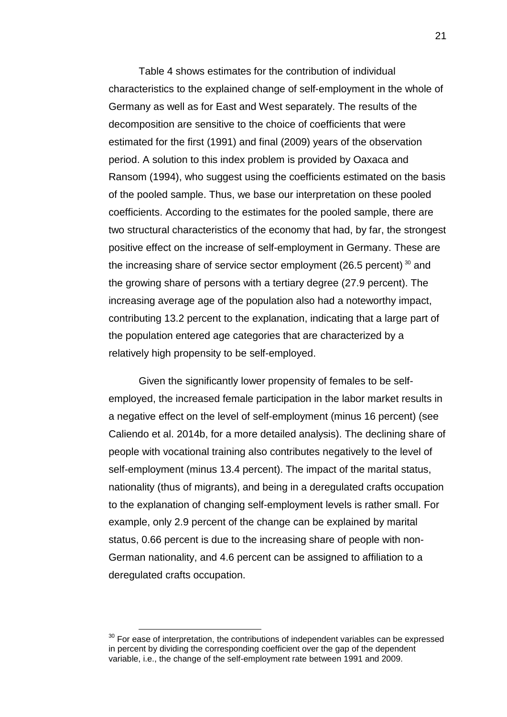Table 4 shows estimates for the contribution of individual characteristics to the explained change of self-employment in the whole of Germany as well as for East and West separately. The results of the decomposition are sensitive to the choice of coefficients that were estimated for the first (1991) and final (2009) years of the observation period. A solution to this index problem is provided by Oaxaca and Ransom (1994), who suggest using the coefficients estimated on the basis of the pooled sample. Thus, we base our interpretation on these pooled coefficients. According to the estimates for the pooled sample, there are two structural characteristics of the economy that had, by far, the strongest positive effect on the increase of self-employment in Germany. These are the increasing share of service sector employment (26.5 percent)  $30$  and the growing share of persons with a tertiary degree (27.9 percent). The increasing average age of the population also had a noteworthy impact, contributing 13.2 percent to the explanation, indicating that a large part of the population entered age categories that are characterized by a relatively high propensity to be self-employed.

Given the significantly lower propensity of females to be selfemployed, the increased female participation in the labor market results in a negative effect on the level of self-employment (minus 16 percent) (see Caliendo et al. 2014b, for a more detailed analysis). The declining share of people with vocational training also contributes negatively to the level of self-employment (minus 13.4 percent). The impact of the marital status, nationality (thus of migrants), and being in a deregulated crafts occupation to the explanation of changing self-employment levels is rather small. For example, only 2.9 percent of the change can be explained by marital status, 0.66 percent is due to the increasing share of people with non-German nationality, and 4.6 percent can be assigned to affiliation to a deregulated crafts occupation.

<span id="page-23-0"></span> $30$  For ease of interpretation, the contributions of independent variables can be expressed in percent by dividing the corresponding coefficient over the gap of the dependent variable, i.e., the change of the self-employment rate between 1991 and 2009.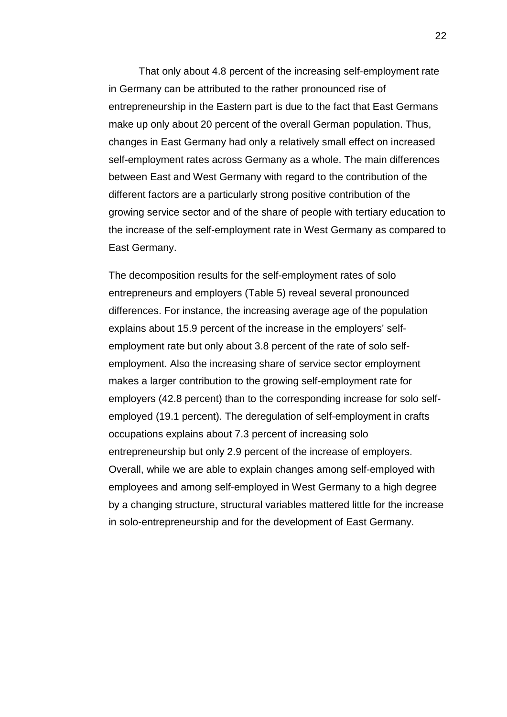That only about 4.8 percent of the increasing self-employment rate in Germany can be attributed to the rather pronounced rise of entrepreneurship in the Eastern part is due to the fact that East Germans make up only about 20 percent of the overall German population. Thus, changes in East Germany had only a relatively small effect on increased self-employment rates across Germany as a whole. The main differences between East and West Germany with regard to the contribution of the different factors are a particularly strong positive contribution of the growing service sector and of the share of people with tertiary education to the increase of the self-employment rate in West Germany as compared to East Germany.

The decomposition results for the self-employment rates of solo entrepreneurs and employers (Table 5) reveal several pronounced differences. For instance, the increasing average age of the population explains about 15.9 percent of the increase in the employers' selfemployment rate but only about 3.8 percent of the rate of solo selfemployment. Also the increasing share of service sector employment makes a larger contribution to the growing self-employment rate for employers (42.8 percent) than to the corresponding increase for solo selfemployed (19.1 percent). The deregulation of self-employment in crafts occupations explains about 7.3 percent of increasing solo entrepreneurship but only 2.9 percent of the increase of employers. Overall, while we are able to explain changes among self-employed with employees and among self-employed in West Germany to a high degree by a changing structure, structural variables mattered little for the increase in solo-entrepreneurship and for the development of East Germany.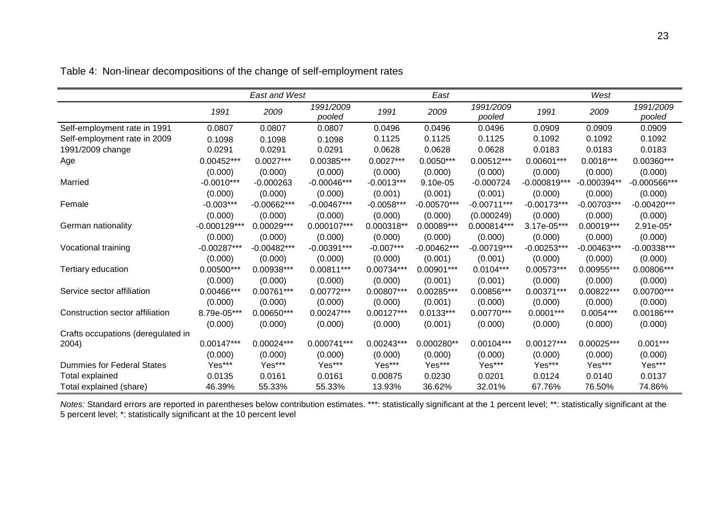|                                    |                | <b>East and West</b> |                     |              | East          |                     |               | West          |                     |
|------------------------------------|----------------|----------------------|---------------------|--------------|---------------|---------------------|---------------|---------------|---------------------|
|                                    | 1991           | 2009                 | 1991/2009<br>pooled | 1991         | 2009          | 1991/2009<br>pooled | 1991          | 2009          | 1991/2009<br>pooled |
| Self-employment rate in 1991       | 0.0807         | 0.0807               | 0.0807              | 0.0496       | 0.0496        | 0.0496              | 0.0909        | 0.0909        | 0.0909              |
| Self-employment rate in 2009       | 0.1098         | 0.1098               | 0.1098              | 0.1125       | 0.1125        | 0.1125              | 0.1092        | 0.1092        | 0.1092              |
| 1991/2009 change                   | 0.0291         | 0.0291               | 0.0291              | 0.0628       | 0.0628        | 0.0628              | 0.0183        | 0.0183        | 0.0183              |
| Age                                | 0.00452***     | $0.0027***$          | 0.00385***          | $0.0027***$  | $0.0050***$   | $0.00512***$        | $0.00601***$  | $0.0018***$   | 0.00360***          |
|                                    | (0.000)        | (0.000)              | (0.000)             | (0.000)      | (0.000)       | (0.000)             | (0.000)       | (0.000)       | (0.000)             |
| Married                            | $-0.0010***$   | $-0.000263$          | $-0.00046***$       | $-0.0013***$ | 9.10e-05      | $-0.000724$         | $-0.000819**$ | $-0.000394**$ | $-0.000566***$      |
|                                    | (0.000)        | (0.000)              | (0.000)             | (0.001)      | (0.001)       | (0.001)             | (0.000)       | (0.000)       | (0.000)             |
| Female                             | $-0.003***$    | $-0.00662***$        | $-0.00467***$       | $-0.0058***$ | $-0.00570***$ | $-0.00711***$       | $-0.00173***$ | $-0.00703***$ | $-0.00420***$       |
|                                    | (0.000)        | (0.000)              | (0.000)             | (0.000)      | (0.000)       | (0.000249)          | (0.000)       | (0.000)       | (0.000)             |
| German nationality                 | $-0.000129***$ | 0.00029 ***          | 0.000107***         | 0.000318**   | 0.00089***    | 0.000814***         | 3.17e-05***   | $0.00019***$  | 2.91e-05*           |
|                                    | (0.000)        | (0.000)              | (0.000)             | (0.000)      | (0.000)       | (0.000)             | (0.000)       | (0.000)       | (0.000)             |
| Vocational training                | $-0.00287***$  | $-0.00482***$        | $-0.00391***$       | $-0.007***$  | $-0.00462***$ | $-0.00719***$       | $-0.00253***$ | $-0.00463***$ | $-0.00338***$       |
|                                    | (0.000)        | (0.000)              | (0.000)             | (0.000)      | (0.001)       | (0.001)             | (0.000)       | (0.000)       | (0.000)             |
| Tertiary education                 | $0.00500***$   | 0.00938***           | 0.00811***          | 0.00734***   | $0.00901***$  | $0.0104***$         | $0.00573***$  | 0.00955***    | 0.00806***          |
|                                    | (0.000)        | (0.000)              | (0.000)             | (0.000)      | (0.001)       | (0.001)             | (0.000)       | (0.000)       | (0.000)             |
| Service sector affiliation         | 0.00466***     | 0.00761***           | 0.00772***          | 0.00807***   | 0.00285***    | 0.00856***          | $0.00371***$  | 0.00822***    | 0.00700***          |
|                                    | (0.000)        | (0.000)              | (0.000)             | (0.000)      | (0.001)       | (0.000)             | (0.000)       | (0.000)       | (0.000)             |
| Construction sector affiliation    | 8.79e-05***    | $0.00650***$         | 0.00247***          | $0.00127***$ | $0.0133***$   | $0.00770***$        | $0.0001***$   | $0.0054***$   | 0.00186***          |
|                                    | (0.000)        | (0.000)              | (0.000)             | (0.000)      | (0.001)       | (0.000)             | (0.000)       | (0.000)       | (0.000)             |
| Crafts occupations (deregulated in |                |                      |                     |              |               |                     |               |               |                     |
| 2004)                              | $0.00147***$   | $0.00024***$         | 0.000741***         | $0.00243***$ | 0.000280**    | 0.00104***          | $0.00127***$  | 0.00025***    | $0.001***$          |
|                                    | (0.000)        | (0.000)              | (0.000)             | (0.000)      | (0.000)       | (0.000)             | (0.000)       | (0.000)       | (0.000)             |
| <b>Dummies for Federal States</b>  | Yes***         | Yes***               | Yes***              | Yes***       | Yes***        | Yes***              | Yes***        | Yes***        | Yes***              |
| <b>Total explained</b>             | 0.0135         | 0.0161               | 0.0161              | 0.00875      | 0.0230        | 0.0201              | 0.0124        | 0.0140        | 0.0137              |
| Total explained (share)            | 46.39%         | 55.33%               | 55.33%              | 13.93%       | 36.62%        | 32.01%              | 67.76%        | 76.50%        | 74.86%              |

Table 4: Non-linear decompositions of the change of self-employment rates

*Notes:* Standard errors are reported in parentheses below contribution estimates. \*\*\*: statistically significant at the 1 percent level; \*\*: statistically significant at the 5 percent level; \*: statistically significant at the 10 percent level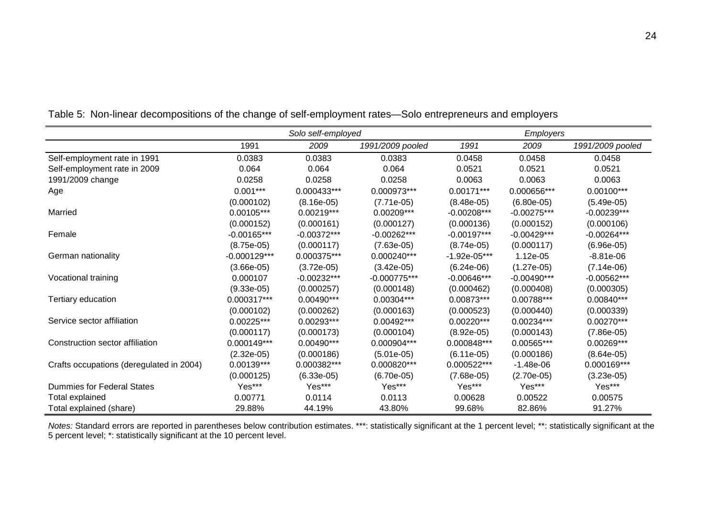|                                          |                | Solo self-employed |                  |                | <b>Employers</b> |                  |
|------------------------------------------|----------------|--------------------|------------------|----------------|------------------|------------------|
|                                          | 1991           | 2009               | 1991/2009 pooled | 1991           | 2009             | 1991/2009 pooled |
| Self-employment rate in 1991             | 0.0383         | 0.0383             | 0.0383           | 0.0458         | 0.0458           | 0.0458           |
| Self-employment rate in 2009             | 0.064          | 0.064              | 0.064            | 0.0521         | 0.0521           | 0.0521           |
| 1991/2009 change                         | 0.0258         | 0.0258             | 0.0258           | 0.0063         | 0.0063           | 0.0063           |
| Age                                      | $0.001***$     | 0.000433***        | 0.000973***      | $0.00171***$   | 0.000656***      | $0.00100***$     |
|                                          | (0.000102)     | $(8.16e-05)$       | $(7.71e-05)$     | $(8.48e-05)$   | $(6.80e-05)$     | $(5.49e-05)$     |
| Married                                  | 0.00105***     | $0.00219***$       | 0.00209***       | $-0.00208***$  | $-0.00275***$    | $-0.00239***$    |
|                                          | (0.000152)     | (0.000161)         | (0.000127)       | (0.000136)     | (0.000152)       | (0.000106)       |
| Female                                   | $-0.00165***$  | $-0.00372***$      | $-0.00262***$    | $-0.00197***$  | $-0.00429***$    | $-0.00264***$    |
|                                          | $(8.75e-05)$   | (0.000117)         | $(7.63e-05)$     | $(8.74e-05)$   | (0.000117)       | $(6.96e-05)$     |
| German nationality                       | $-0.000129***$ | 0.000375***        | 0.000240***      | $-1.92e-05***$ | 1.12e-05         | $-8.81e-06$      |
|                                          | $(3.66e-05)$   | $(3.72e-05)$       | $(3.42e-05)$     | $(6.24e-06)$   | $(1.27e-05)$     | $(7.14e-06)$     |
| Vocational training                      | 0.000107       | $-0.00232***$      | $-0.000775***$   | $-0.00646***$  | $-0.00490***$    | $-0.00562***$    |
|                                          | $(9.33e-05)$   | (0.000257)         | (0.000148)       | (0.000462)     | (0.000408)       | (0.000305)       |
| Tertiary education                       | 0.000317***    | 0.00490***         | 0.00304***       | 0.00873***     | 0.00788***       | 0.00840***       |
|                                          | (0.000102)     | (0.000262)         | (0.000163)       | (0.000523)     | (0.000440)       | (0.000339)       |
| Service sector affiliation               | $0.00225***$   | 0.00293***         | 0.00492***       | $0.00220***$   | 0.00234***       | 0.00270***       |
|                                          | (0.000117)     | (0.000173)         | (0.000104)       | $(8.92e-05)$   | (0.000143)       | $(7.86e-05)$     |
| Construction sector affiliation          | 0.000149***    | 0.00490***         | 0.000904***      | 0.000848***    | 0.00565***       | 0.00269***       |
|                                          | $(2.32e-05)$   | (0.000186)         | $(5.01e-05)$     | $(6.11e-05)$   | (0.000186)       | $(8.64e-05)$     |
| Crafts occupations (deregulated in 2004) | 0.00139***     | 0.000382***        | 0.000820***      | 0.000522***    | $-1.48e-06$      | 0.000169***      |
|                                          | (0.000125)     | $(6.33e-05)$       | $(6.70e-05)$     | $(7.68e-05)$   | $(2.70e-05)$     | $(3.23e-05)$     |
| Dummies for Federal States               | Yes***         | Yes***             | Yes***           | Yes***         | Yes***           | Yes***           |
| <b>Total explained</b>                   | 0.00771        | 0.0114             | 0.0113           | 0.00628        | 0.00522          | 0.00575          |
| Total explained (share)                  | 29.88%         | 44.19%             | 43.80%           | 99.68%         | 82.86%           | 91.27%           |

Table 5: Non-linear decompositions of the change of self-employment rates—Solo entrepreneurs and employers

*Notes:* Standard errors are reported in parentheses below contribution estimates. \*\*\*: statistically significant at the 1 percent level; \*\*: statistically significant at the 5 percent level; \*: statistically significant at the 10 percent level.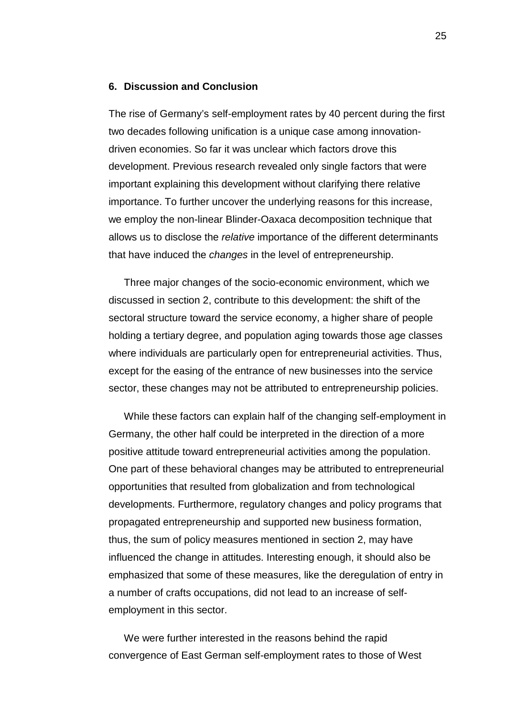#### **6. Discussion and Conclusion**

The rise of Germany's self-employment rates by 40 percent during the first two decades following unification is a unique case among innovationdriven economies. So far it was unclear which factors drove this development. Previous research revealed only single factors that were important explaining this development without clarifying there relative importance. To further uncover the underlying reasons for this increase, we employ the non-linear Blinder-Oaxaca decomposition technique that allows us to disclose the *relative* importance of the different determinants that have induced the *changes* in the level of entrepreneurship.

Three major changes of the socio-economic environment, which we discussed in section 2, contribute to this development: the shift of the sectoral structure toward the service economy, a higher share of people holding a tertiary degree, and population aging towards those age classes where individuals are particularly open for entrepreneurial activities. Thus, except for the easing of the entrance of new businesses into the service sector, these changes may not be attributed to entrepreneurship policies.

While these factors can explain half of the changing self-employment in Germany, the other half could be interpreted in the direction of a more positive attitude toward entrepreneurial activities among the population. One part of these behavioral changes may be attributed to entrepreneurial opportunities that resulted from globalization and from technological developments. Furthermore, regulatory changes and policy programs that propagated entrepreneurship and supported new business formation, thus, the sum of policy measures mentioned in section 2, may have influenced the change in attitudes. Interesting enough, it should also be emphasized that some of these measures, like the deregulation of entry in a number of crafts occupations, did not lead to an increase of selfemployment in this sector.

We were further interested in the reasons behind the rapid convergence of East German self-employment rates to those of West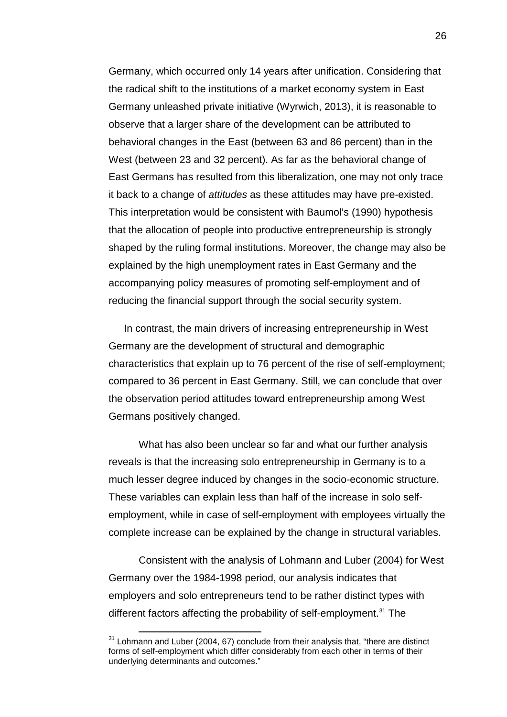Germany, which occurred only 14 years after unification. Considering that the radical shift to the institutions of a market economy system in East Germany unleashed private initiative (Wyrwich, 2013), it is reasonable to observe that a larger share of the development can be attributed to behavioral changes in the East (between 63 and 86 percent) than in the West (between 23 and 32 percent). As far as the behavioral change of East Germans has resulted from this liberalization, one may not only trace it back to a change of *attitudes* as these attitudes may have pre-existed. This interpretation would be consistent with Baumol's (1990) hypothesis that the allocation of people into productive entrepreneurship is strongly shaped by the ruling formal institutions. Moreover, the change may also be explained by the high unemployment rates in East Germany and the accompanying policy measures of promoting self-employment and of reducing the financial support through the social security system.

In contrast, the main drivers of increasing entrepreneurship in West Germany are the development of structural and demographic characteristics that explain up to 76 percent of the rise of self-employment; compared to 36 percent in East Germany. Still, we can conclude that over the observation period attitudes toward entrepreneurship among West Germans positively changed.

What has also been unclear so far and what our further analysis reveals is that the increasing solo entrepreneurship in Germany is to a much lesser degree induced by changes in the socio-economic structure. These variables can explain less than half of the increase in solo selfemployment, while in case of self-employment with employees virtually the complete increase can be explained by the change in structural variables.

Consistent with the analysis of Lohmann and Luber (2004) for West Germany over the 1984-1998 period, our analysis indicates that employers and solo entrepreneurs tend to be rather distinct types with different factors affecting the probability of self-employment.<sup>[31](#page-28-0)</sup> The

<span id="page-28-0"></span> $31$  Lohmann and Luber (2004, 67) conclude from their analysis that, "there are distinct forms of self-employment which differ considerably from each other in terms of their underlying determinants and outcomes."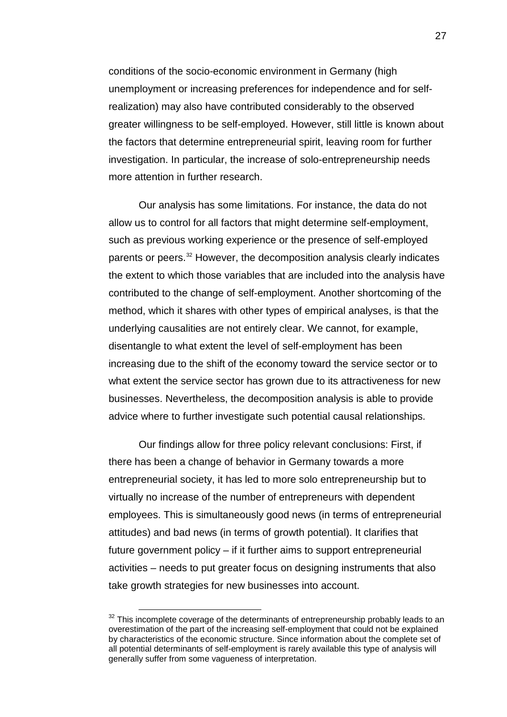conditions of the socio-economic environment in Germany (high unemployment or increasing preferences for independence and for selfrealization) may also have contributed considerably to the observed greater willingness to be self-employed. However, still little is known about the factors that determine entrepreneurial spirit, leaving room for further investigation. In particular, the increase of solo-entrepreneurship needs more attention in further research.

Our analysis has some limitations. For instance, the data do not allow us to control for all factors that might determine self-employment, such as previous working experience or the presence of self-employed parents or peers.[32](#page-29-0) However, the decomposition analysis clearly indicates the extent to which those variables that are included into the analysis have contributed to the change of self-employment. Another shortcoming of the method, which it shares with other types of empirical analyses, is that the underlying causalities are not entirely clear. We cannot, for example, disentangle to what extent the level of self-employment has been increasing due to the shift of the economy toward the service sector or to what extent the service sector has grown due to its attractiveness for new businesses. Nevertheless, the decomposition analysis is able to provide advice where to further investigate such potential causal relationships.

Our findings allow for three policy relevant conclusions: First, if there has been a change of behavior in Germany towards a more entrepreneurial society, it has led to more solo entrepreneurship but to virtually no increase of the number of entrepreneurs with dependent employees. This is simultaneously good news (in terms of entrepreneurial attitudes) and bad news (in terms of growth potential). It clarifies that future government policy – if it further aims to support entrepreneurial activities – needs to put greater focus on designing instruments that also take growth strategies for new businesses into account.

<span id="page-29-0"></span> $32$  This incomplete coverage of the determinants of entrepreneurship probably leads to an overestimation of the part of the increasing self-employment that could not be explained by characteristics of the economic structure. Since information about the complete set of all potential determinants of self-employment is rarely available this type of analysis will generally suffer from some vagueness of interpretation.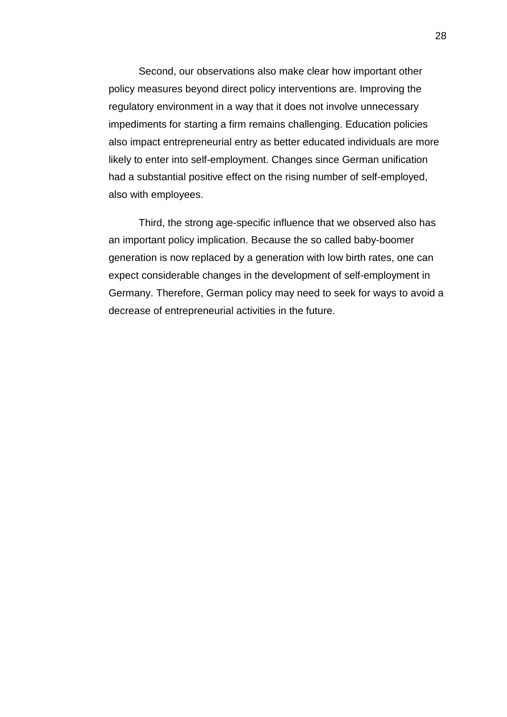Second, our observations also make clear how important other policy measures beyond direct policy interventions are. Improving the regulatory environment in a way that it does not involve unnecessary impediments for starting a firm remains challenging. Education policies also impact entrepreneurial entry as better educated individuals are more likely to enter into self-employment. Changes since German unification had a substantial positive effect on the rising number of self-employed, also with employees.

Third, the strong age-specific influence that we observed also has an important policy implication. Because the so called baby-boomer generation is now replaced by a generation with low birth rates, one can expect considerable changes in the development of self-employment in Germany. Therefore, German policy may need to seek for ways to avoid a decrease of entrepreneurial activities in the future.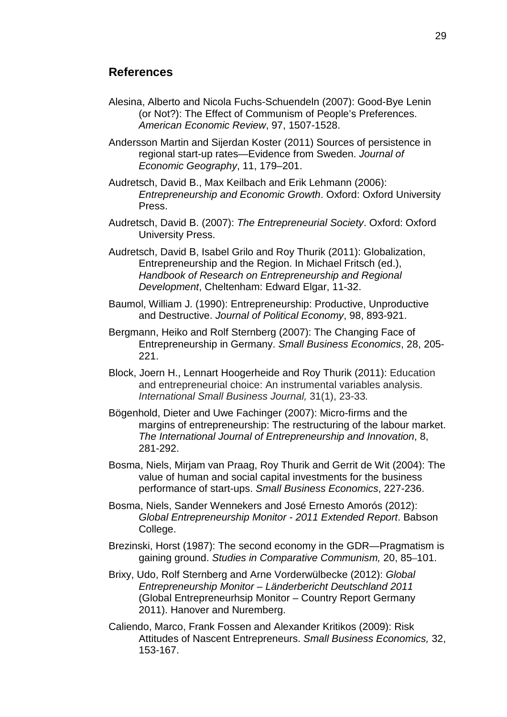#### **References**

Alesina, Alberto and Nicola Fuchs-Schuendeln (2007): Good-Bye Lenin (or Not?): The Effect of Communism of People's Preferences. *American Economic Review*, 97, 1507-1528.

Andersson Martin and Sijerdan Koster (2011) Sources of persistence in regional start-up rates—Evidence from Sweden. *Journal of Economic Geography*, 11, 179–201.

- Audretsch, David B., Max Keilbach and Erik Lehmann (2006): *Entrepreneurship and Economic Growth*. Oxford: Oxford University Press.
- Audretsch, David B. (2007): *The Entrepreneurial Society*. Oxford: Oxford University Press.
- Audretsch, David B, Isabel Grilo and Roy Thurik (2011): Globalization, Entrepreneurship and the Region. In Michael Fritsch (ed.), *Handbook of Research on Entrepreneurship and Regional Development*, Cheltenham: Edward Elgar, 11-32.
- Baumol, William J. (1990): Entrepreneurship: Productive, Unproductive and Destructive. *Journal of Political Economy*, 98, 893-921.
- Bergmann, Heiko and Rolf Sternberg (2007): The Changing Face of Entrepreneurship in Germany. *Small Business Economics*, 28, 205- 221.
- Block, Joern H., Lennart Hoogerheide and Roy Thurik (2011): Education and entrepreneurial choice: An instrumental variables analysis. *International Small Business Journal,* 31(1), 23-33*.*
- Bögenhold, Dieter and Uwe Fachinger (2007): Micro-firms and the margins of entrepreneurship: The restructuring of the labour market. *The International Journal of Entrepreneurship and Innovation*, 8, 281-292.
- Bosma, Niels, Mirjam van Praag, Roy Thurik and Gerrit de Wit (2004): The value of human and social capital investments for the business performance of start-ups. *Small Business Economics*, 227-236.
- Bosma, Niels, Sander Wennekers and José Ernesto Amorós (2012): *Global Entrepreneurship Monitor - 2011 Extended Report*. Babson College.
- Brezinski, Horst (1987): The second economy in the GDR—Pragmatism is gaining ground. *Studies in Comparative Communism,* 20, 85–101.
- Brixy, Udo, Rolf Sternberg and Arne Vorderwülbecke (2012): *Global Entrepreneurship Monitor – Länderbericht Deutschland 2011* (Global Entrepreneurhsip Monitor – Country Report Germany 2011). Hanover and Nuremberg.
- Caliendo, Marco, Frank Fossen and Alexander Kritikos (2009): Risk Attitudes of Nascent Entrepreneurs. *Small Business Economics,* 32, 153-167.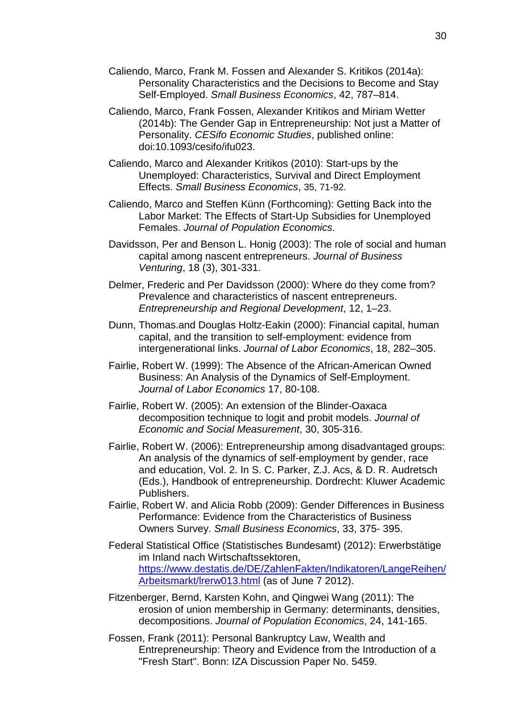- Caliendo, Marco, Frank M. Fossen and Alexander S. Kritikos (2014a): Personality Characteristics and the Decisions to Become and Stay Self-Employed. *Small Business Economics*, 42, 787–814.
- Caliendo, Marco, Frank Fossen, Alexander Kritikos and Miriam Wetter (2014b): The Gender Gap in Entrepreneurship: Not just a Matter of Personality. *CESifo Economic Studies*, published online: doi:10.1093/cesifo/ifu023.
- Caliendo, Marco and Alexander Kritikos (2010): Start-ups by the Unemployed: Characteristics, Survival and Direct Employment Effects. *Small Business Economics*, 35, 71-92.
- Caliendo, Marco and Steffen Künn (Forthcoming): Getting Back into the Labor Market: The Effects of Start-Up Subsidies for Unemployed Females. *Journal of Population Economics*.
- Davidsson, Per and Benson L. Honig (2003): The role of social and human capital among nascent entrepreneurs. *Journal of Business Venturing*, 18 (3), 301-331.
- Delmer, Frederic and Per Davidsson (2000): Where do they come from? Prevalence and characteristics of nascent entrepreneurs. *Entrepreneurship and Regional Development*, 12, 1–23.
- Dunn, Thomas.and Douglas Holtz-Eakin (2000): Financial capital, human capital, and the transition to self-employment: evidence from intergenerational links. *Journal of Labor Economics*, 18, 282–305.
- Fairlie, Robert W. (1999): The Absence of the African-American Owned Business: An Analysis of the Dynamics of Self-Employment. *Journal of Labor Economics* 17, 80-108.
- Fairlie, Robert W. (2005): An extension of the Blinder-Oaxaca decomposition technique to logit and probit models. *Journal of Economic and Social Measurement*, 30, 305-316.
- Fairlie, Robert W. (2006): Entrepreneurship among disadvantaged groups: An analysis of the dynamics of self-employment by gender, race and education, Vol. 2. In S. C. Parker, Z.J. Acs, & D. R. Audretsch (Eds.), Handbook of entrepreneurship. Dordrecht: Kluwer Academic Publishers.
- Fairlie, Robert W. and Alicia Robb (2009): Gender Differences in Business Performance: Evidence from the Characteristics of Business Owners Survey. *Small Business Economics*, 33, 375- 395.
- Federal Statistical Office (Statistisches Bundesamt) (2012): Erwerbstätige im Inland nach Wirtschaftssektoren, [https://www.destatis.de/DE/ZahlenFakten/Indikatoren/LangeReihen/](https://www.destatis.de/DE/ZahlenFakten/Indikatoren/LangeReihen/Arbeitsmarkt/lrerw013.html) [Arbeitsmarkt/lrerw013.html](https://www.destatis.de/DE/ZahlenFakten/Indikatoren/LangeReihen/Arbeitsmarkt/lrerw013.html) (as of June 7 2012).
- Fitzenberger, Bernd, Karsten Kohn, and Qingwei Wang (2011): The erosion of union membership in Germany: determinants, densities, decompositions. *Journal of Population Economics*, 24, 141-165.
- Fossen, Frank (2011): Personal Bankruptcy Law, Wealth and Entrepreneurship: Theory and Evidence from the Introduction of a "Fresh Start". Bonn: IZA Discussion Paper No. 5459.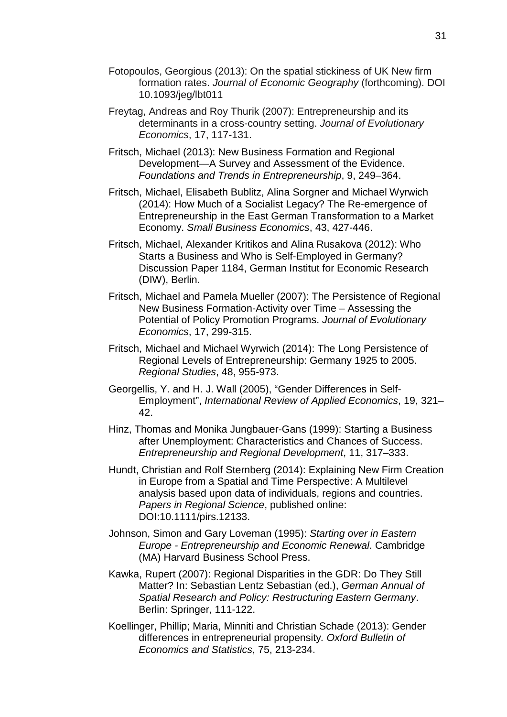- Fotopoulos, Georgious (2013): On the spatial stickiness of UK New firm formation rates. *Journal of Economic Geography* (forthcoming). DOI 10.1093/jeg/lbt011
- Freytag, Andreas and Roy Thurik (2007): Entrepreneurship and its determinants in a cross-country setting. *Journal of Evolutionary Economics*, 17, 117-131.
- Fritsch, Michael (2013): New Business Formation and Regional Development—A Survey and Assessment of the Evidence. *Foundations and Trends in Entrepreneurship*, 9, 249–364.
- Fritsch, Michael, Elisabeth Bublitz, Alina Sorgner and Michael Wyrwich (2014): How Much of a Socialist Legacy? The Re-emergence of Entrepreneurship in the East German Transformation to a Market Economy. *Small Business Economics*, 43, 427-446.
- Fritsch, Michael, Alexander Kritikos and Alina Rusakova (2012): Who Starts a Business and Who is Self-Employed in Germany? Discussion Paper 1184, German Institut for Economic Research (DIW), Berlin.
- Fritsch, Michael and Pamela Mueller (2007): The Persistence of Regional New Business Formation-Activity over Time – Assessing the Potential of Policy Promotion Programs. *Journal of Evolutionary Economics*, 17, 299-315.
- Fritsch, Michael and Michael Wyrwich (2014): The Long Persistence of Regional Levels of Entrepreneurship: Germany 1925 to 2005. *Regional Studies*, 48, 955-973.
- Georgellis, Y. and H. J. Wall (2005), "Gender Differences in Self-Employment", *International Review of Applied Economics*, 19, 321– 42.
- Hinz, Thomas and Monika Jungbauer-Gans (1999): Starting a Business after Unemployment: Characteristics and Chances of Success. *Entrepreneurship and Regional Development*, 11, 317–333.
- Hundt, Christian and Rolf Sternberg (2014): Explaining New Firm Creation in Europe from a Spatial and Time Perspective: A Multilevel analysis based upon data of individuals, regions and countries. *Papers in Regional Science*, published online: DOI:10.1111/pirs.12133.
- Johnson, Simon and Gary Loveman (1995): *Starting over in Eastern Europe - Entrepreneurship and Economic Renewal*. Cambridge (MA) Harvard Business School Press.
- Kawka, Rupert (2007): Regional Disparities in the GDR: Do They Still Matter? In: Sebastian Lentz Sebastian (ed.), *German Annual of Spatial Research and Policy: Restructuring Eastern Germany*. Berlin: Springer, 111-122.
- Koellinger, Phillip; Maria, Minniti and Christian Schade (2013): Gender differences in entrepreneurial propensity*. Oxford Bulletin of Economics and Statistics*, 75, 213-234.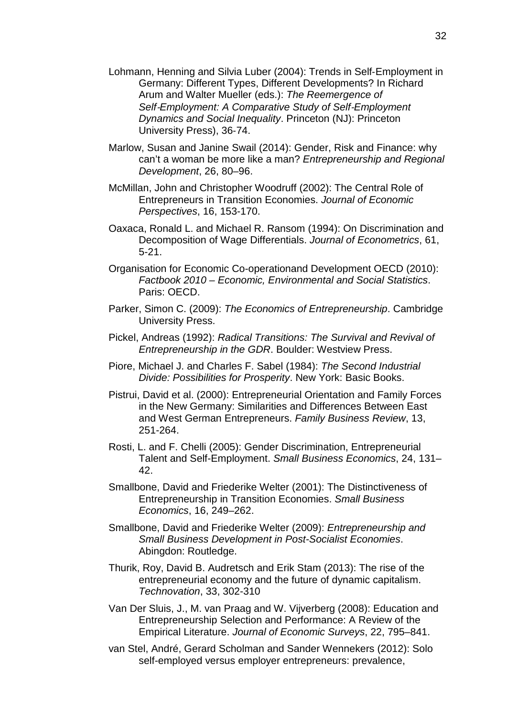- Lohmann, Henning and Silvia Luber (2004): Trends in Self‐Employment in Germany: Different Types, Different Developments? In Richard Arum and Walter Mueller (eds.): *The Reemergence of Self*‐*Employment: A Comparative Study of Self*‐*Employment Dynamics and Social Inequality*. Princeton (NJ): Princeton University Press), 36‐74.
- Marlow, Susan and Janine Swail (2014): Gender, Risk and Finance: why can't a woman be more like a man? *Entrepreneurship and Regional Development*, 26, 80–96.
- McMillan, John and Christopher Woodruff (2002): The Central Role of Entrepreneurs in Transition Economies. *Journal of Economic Perspectives*, 16, 153-170.
- Oaxaca, Ronald L. and Michael R. Ransom (1994): On Discrimination and Decomposition of Wage Differentials. *Journal of Econometrics*, 61, 5-21.
- Organisation for Economic Co-operationand Development OECD (2010): *Factbook 2010 – Economic, Environmental and Social Statistics*. Paris: OECD.
- Parker, Simon C. (2009): *The Economics of Entrepreneurship*. Cambridge University Press.
- Pickel, Andreas (1992): *Radical Transitions: The Survival and Revival of Entrepreneurship in the GDR*. Boulder: Westview Press.
- Piore, Michael J. and Charles F. Sabel (1984): *The Second Industrial Divide: Possibilities for Prosperity*. New York: Basic Books.
- Pistrui, David et al. (2000): Entrepreneurial Orientation and Family Forces in the New Germany: Similarities and Differences Between East and West German Entrepreneurs. *Family Business Review*, 13, 251-264.
- Rosti, L. and F. Chelli (2005): Gender Discrimination, Entrepreneurial Talent and Self-Employment. *Small Business Economics*, 24, 131– 42.
- Smallbone, David and Friederike Welter (2001): The Distinctiveness of Entrepreneurship in Transition Economies. *Small Business Economics*, 16, 249–262.
- Smallbone, David and Friederike Welter (2009): *Entrepreneurship and Small Business Development in Post-Socialist Economies*. Abingdon: Routledge.
- Thurik, Roy, David B. Audretsch and Erik Stam (2013): The rise of the entrepreneurial economy and the future of dynamic capitalism. *Technovation*, 33, 302-310
- Van Der Sluis, J., M. van Praag and W. Vijverberg (2008): Education and Entrepreneurship Selection and Performance: A Review of the Empirical Literature. *Journal of Economic Surveys*, 22, 795–841.
- van Stel, André, Gerard Scholman and Sander Wennekers (2012): Solo self-employed versus employer entrepreneurs: prevalence,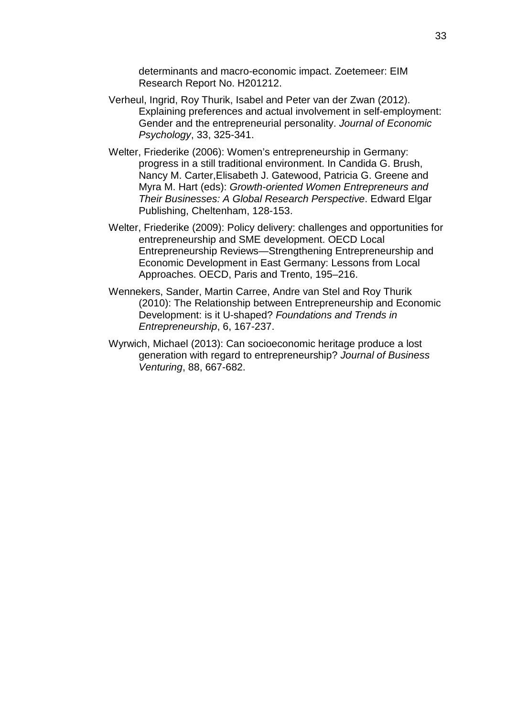determinants and macro-economic impact. Zoetemeer: EIM Research Report No. H201212.

- Verheul, Ingrid, Roy Thurik, Isabel and Peter van der Zwan (2012). Explaining preferences and actual involvement in self-employment: Gender and the entrepreneurial personality. *Journal of Economic Psychology*, 33, 325-341.
- Welter, Friederike (2006): Women's entrepreneurship in Germany: progress in a still traditional environment. In Candida G. Brush, Nancy M. Carter,Elisabeth J. Gatewood, Patricia G. Greene and Myra M. Hart (eds): *Growth-oriented Women Entrepreneurs and Their Businesses: A Global Research Perspective*. Edward Elgar Publishing, Cheltenham, 128-153.
- Welter, Friederike (2009): Policy delivery: challenges and opportunities for entrepreneurship and SME development. OECD Local Entrepreneurship Reviews—Strengthening Entrepreneurship and Economic Development in East Germany: Lessons from Local Approaches. OECD, Paris and Trento, 195–216.
- Wennekers, Sander, Martin Carree, Andre van Stel and Roy Thurik (2010): The Relationship between Entrepreneurship and Economic Development: is it U-shaped? *Foundations and Trends in Entrepreneurship*, 6, 167-237.
- Wyrwich, Michael (2013): Can socioeconomic heritage produce a lost generation with regard to entrepreneurship? *Journal of Business Venturing*, 88, 667-682.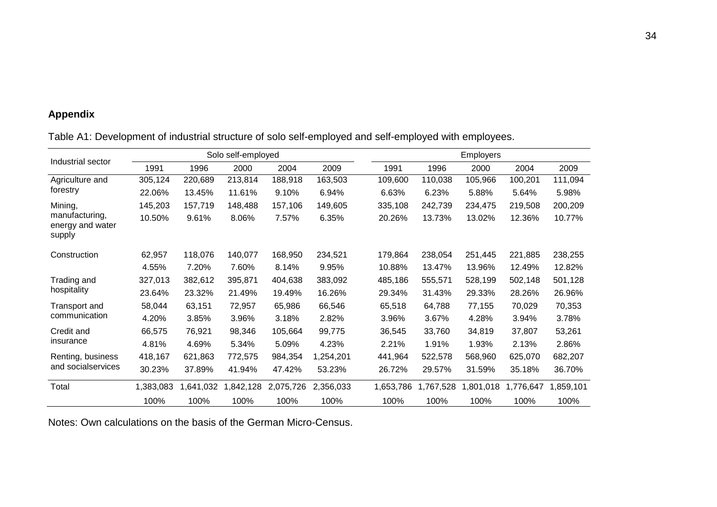### **Appendix**

Table A1: Development of industrial structure of solo self-employed and self-employed with employees.

|                                              |           |           | Solo self-employed |           |           |           |           | <b>Employers</b> |           |          |
|----------------------------------------------|-----------|-----------|--------------------|-----------|-----------|-----------|-----------|------------------|-----------|----------|
| Industrial sector                            | 1991      | 1996      | 2000               | 2004      | 2009      | 1991      | 1996      | 2000             | 2004      | 2009     |
| Agriculture and                              | 305,124   | 220,689   | 213,814            | 188,918   | 163,503   | 109,600   | 110,038   | 105,966          | 100,201   | 111,094  |
| forestry                                     | 22.06%    | 13.45%    | 11.61%             | 9.10%     | 6.94%     | 6.63%     | 6.23%     | 5.88%            | 5.64%     | 5.98%    |
| Mining,                                      | 145,203   | 157,719   | 148,488            | 157,106   | 149,605   | 335,108   | 242,739   | 234,475          | 219,508   | 200,209  |
| manufacturing,<br>energy and water<br>supply | 10.50%    | 9.61%     | 8.06%              | 7.57%     | 6.35%     | 20.26%    | 13.73%    | 13.02%           | 12.36%    | 10.77%   |
| Construction                                 | 62,957    | 118,076   | 140,077            | 168,950   | 234,521   | 179,864   | 238,054   | 251,445          | 221,885   | 238,255  |
|                                              | 4.55%     | 7.20%     | 7.60%              | 8.14%     | 9.95%     | 10.88%    | 13.47%    | 13.96%           | 12.49%    | 12.82%   |
| Trading and                                  | 327,013   | 382,612   | 395,871            | 404,638   | 383,092   | 485,186   | 555,571   | 528,199          | 502,148   | 501,128  |
| hospitality                                  | 23.64%    | 23.32%    | 21.49%             | 19.49%    | 16.26%    | 29.34%    | 31.43%    | 29.33%           | 28.26%    | 26.96%   |
| Transport and                                | 58,044    | 63,151    | 72,957             | 65,986    | 66,546    | 65,518    | 64,788    | 77,155           | 70,029    | 70,353   |
| communication                                | 4.20%     | 3.85%     | 3.96%              | 3.18%     | 2.82%     | 3.96%     | 3.67%     | 4.28%            | 3.94%     | 3.78%    |
| Credit and                                   | 66,575    | 76,921    | 98,346             | 105,664   | 99,775    | 36,545    | 33,760    | 34,819           | 37,807    | 53,261   |
| insurance                                    | 4.81%     | 4.69%     | 5.34%              | 5.09%     | 4.23%     | 2.21%     | 1.91%     | 1.93%            | 2.13%     | 2.86%    |
| Renting, business                            | 418,167   | 621,863   | 772,575            | 984,354   | 1,254,201 | 441,964   | 522,578   | 568,960          | 625,070   | 682,207  |
| and socialservices                           | 30.23%    | 37.89%    | 41.94%             | 47.42%    | 53.23%    | 26.72%    | 29.57%    | 31.59%           | 35.18%    | 36.70%   |
| Total                                        | 1,383,083 | 1,641,032 | 1,842,128          | 2,075,726 | 2,356,033 | 1,653,786 | 1,767,528 | ,801,018         | 1,776,647 | ,859,101 |
|                                              | 100%      | 100%      | 100%               | 100%      | 100%      | 100%      | 100%      | 100%             | 100%      | 100%     |

Notes: Own calculations on the basis of the German Micro-Census.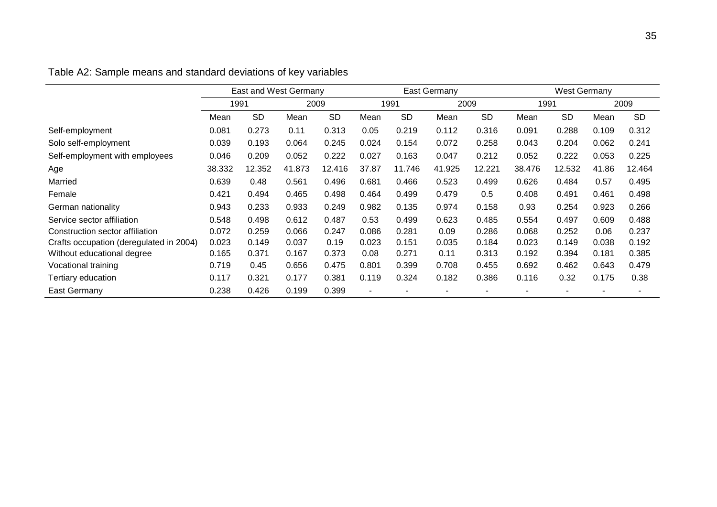|                                         | East and West Germany |           |        |           | East Germany   |           |        |           | <b>West Germany</b> |           |       |           |
|-----------------------------------------|-----------------------|-----------|--------|-----------|----------------|-----------|--------|-----------|---------------------|-----------|-------|-----------|
|                                         | 1991                  |           |        | 2009      |                | 1991      | 2009   |           | 1991                |           | 2009  |           |
|                                         | Mean                  | <b>SD</b> | Mean   | <b>SD</b> | Mean           | <b>SD</b> | Mean   | <b>SD</b> | Mean                | <b>SD</b> | Mean  | <b>SD</b> |
| Self-employment                         | 0.081                 | 0.273     | 0.11   | 0.313     | 0.05           | 0.219     | 0.112  | 0.316     | 0.091               | 0.288     | 0.109 | 0.312     |
| Solo self-employment                    | 0.039                 | 0.193     | 0.064  | 0.245     | 0.024          | 0.154     | 0.072  | 0.258     | 0.043               | 0.204     | 0.062 | 0.241     |
| Self-employment with employees          | 0.046                 | 0.209     | 0.052  | 0.222     | 0.027          | 0.163     | 0.047  | 0.212     | 0.052               | 0.222     | 0.053 | 0.225     |
| Age                                     | 38.332                | 12.352    | 41.873 | 12.416    | 37.87          | 11.746    | 41.925 | 12.221    | 38.476              | 12.532    | 41.86 | 12.464    |
| Married                                 | 0.639                 | 0.48      | 0.561  | 0.496     | 0.681          | 0.466     | 0.523  | 0.499     | 0.626               | 0.484     | 0.57  | 0.495     |
| Female                                  | 0.421                 | 0.494     | 0.465  | 0.498     | 0.464          | 0.499     | 0.479  | 0.5       | 0.408               | 0.491     | 0.461 | 0.498     |
| German nationality                      | 0.943                 | 0.233     | 0.933  | 0.249     | 0.982          | 0.135     | 0.974  | 0.158     | 0.93                | 0.254     | 0.923 | 0.266     |
| Service sector affiliation              | 0.548                 | 0.498     | 0.612  | 0.487     | 0.53           | 0.499     | 0.623  | 0.485     | 0.554               | 0.497     | 0.609 | 0.488     |
| Construction sector affiliation         | 0.072                 | 0.259     | 0.066  | 0.247     | 0.086          | 0.281     | 0.09   | 0.286     | 0.068               | 0.252     | 0.06  | 0.237     |
| Crafts occupation (deregulated in 2004) | 0.023                 | 0.149     | 0.037  | 0.19      | 0.023          | 0.151     | 0.035  | 0.184     | 0.023               | 0.149     | 0.038 | 0.192     |
| Without educational degree              | 0.165                 | 0.371     | 0.167  | 0.373     | 0.08           | 0.271     | 0.11   | 0.313     | 0.192               | 0.394     | 0.181 | 0.385     |
| Vocational training                     | 0.719                 | 0.45      | 0.656  | 0.475     | 0.801          | 0.399     | 0.708  | 0.455     | 0.692               | 0.462     | 0.643 | 0.479     |
| Tertiary education                      | 0.117                 | 0.321     | 0.177  | 0.381     | 0.119          | 0.324     | 0.182  | 0.386     | 0.116               | 0.32      | 0.175 | 0.38      |
| East Germany                            | 0.238                 | 0.426     | 0.199  | 0.399     | $\blacksquare$ |           |        |           |                     |           |       |           |

# Table A2: Sample means and standard deviations of key variables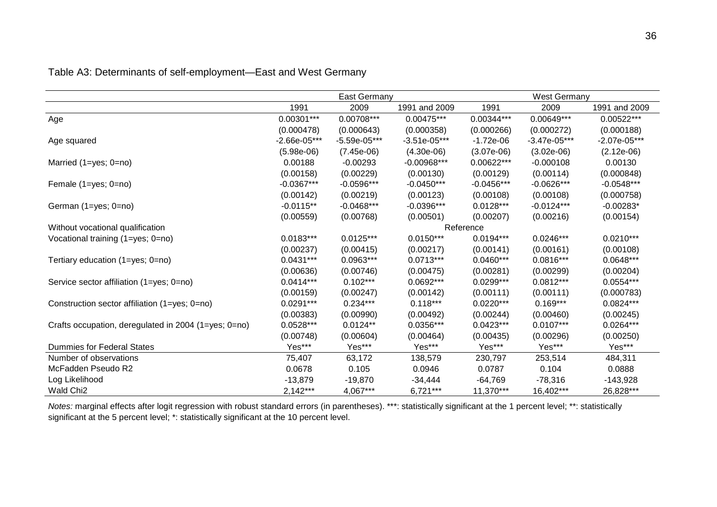|                                                      |                | East Germany   |                |              | <b>West Germany</b> |               |  |  |  |
|------------------------------------------------------|----------------|----------------|----------------|--------------|---------------------|---------------|--|--|--|
|                                                      | 1991           | 2009           | 1991 and 2009  | 1991         | 2009                | 1991 and 2009 |  |  |  |
| Age                                                  | $0.00301***$   | 0.00708***     | 0.00475***     | 0.00344***   | 0.00649***          | 0.00522***    |  |  |  |
|                                                      | (0.000478)     | (0.000643)     | (0.000358)     | (0.000266)   | (0.000272)          | (0.000188)    |  |  |  |
| Age squared                                          | $-2.66e-05***$ | $-5.59e-05***$ | $-3.51e-05***$ | $-1.72e-06$  | $-3.47e-05***$      | -2.07e-05***  |  |  |  |
|                                                      | $(5.98e-06)$   | $(7.45e-06)$   | $(4.30e-06)$   | $(3.07e-06)$ | $(3.02e-06)$        | $(2.12e-06)$  |  |  |  |
| Married $(1 = yes; 0 = no)$                          | 0.00188        | $-0.00293$     | $-0.00968***$  | 0.00622***   | $-0.000108$         | 0.00130       |  |  |  |
|                                                      | (0.00158)      | (0.00229)      | (0.00130)      | (0.00129)    | (0.00114)           | (0.000848)    |  |  |  |
| Female (1=yes; 0=no)                                 | $-0.0367***$   | $-0.0596***$   | $-0.0450***$   | $-0.0456***$ | $-0.0626***$        | $-0.0548***$  |  |  |  |
|                                                      | (0.00142)      | (0.00219)      | (0.00123)      | (0.00108)    | (0.00108)           | (0.000758)    |  |  |  |
| German (1=yes; 0=no)                                 | $-0.0115**$    | $-0.0468***$   | $-0.0396***$   | $0.0128***$  | $-0.0124***$        | $-0.00283*$   |  |  |  |
|                                                      | (0.00559)      | (0.00768)      | (0.00501)      | (0.00207)    | (0.00216)           | (0.00154)     |  |  |  |
| Without vocational qualification                     |                |                |                | Reference    | $0.0246***$         |               |  |  |  |
| Vocational training (1=yes; 0=no)                    | $0.0183***$    | $0.0125***$    | $0.0150***$    | $0.0194***$  |                     | $0.0210***$   |  |  |  |
|                                                      | (0.00237)      | (0.00415)      | (0.00217)      | (0.00141)    | (0.00161)           | (0.00108)     |  |  |  |
| Tertiary education (1=yes; 0=no)                     | $0.0431***$    | 0.0963***      | $0.0713***$    | $0.0460***$  | $0.0816***$         | 0.0648***     |  |  |  |
|                                                      | (0.00636)      | (0.00746)      | (0.00475)      | (0.00281)    | (0.00299)           | (0.00204)     |  |  |  |
| Service sector affiliation (1=yes; 0=no)             | $0.0414***$    | $0.102***$     | 0.0692***      | $0.0299***$  | $0.0812***$         | $0.0554***$   |  |  |  |
|                                                      | (0.00159)      | (0.00247)      | (0.00142)      | (0.00111)    | (0.00111)           | (0.000783)    |  |  |  |
| Construction sector affiliation (1=yes; 0=no)        | $0.0291***$    | $0.234***$     | $0.118***$     | $0.0220***$  | $0.169***$          | $0.0824***$   |  |  |  |
|                                                      | (0.00383)      | (0.00990)      | (0.00492)      | (0.00244)    | (0.00460)           | (0.00245)     |  |  |  |
| Crafts occupation, deregulated in 2004 (1=yes; 0=no) | 0.0528***      | $0.0124**$     | 0.0356***      | $0.0423***$  | $0.0107***$         | $0.0264***$   |  |  |  |
|                                                      | (0.00748)      | (0.00604)      | (0.00464)      | (0.00435)    | (0.00296)           | (0.00250)     |  |  |  |
| Dummies for Federal States                           | Yes***         | Yes***         | Yes***         | Yes***       | Yes***              | Yes***        |  |  |  |
| Number of observations                               | 75,407         | 63,172         | 138,579        | 230,797      | 253,514             | 484,311       |  |  |  |
| McFadden Pseudo R2                                   | 0.0678         | 0.105          | 0.0946         | 0.0787       | 0.104               | 0.0888        |  |  |  |
| Log Likelihood                                       | $-13,879$      | $-19,870$      | $-34,444$      | $-64,769$    | $-78,316$           | $-143,928$    |  |  |  |
| Wald Chi <sub>2</sub>                                | $2,142***$     | 4,067***       | $6,721***$     | 11,370***    | 16,402***           | 26,828***     |  |  |  |

### Table A3: Determinants of self-employment—East and West Germany

*Notes:* marginal effects after logit regression with robust standard errors (in parentheses). \*\*\*: statistically significant at the 1 percent level; \*\*: statistically significant at the 5 percent level; \*: statistically significant at the 10 percent level.